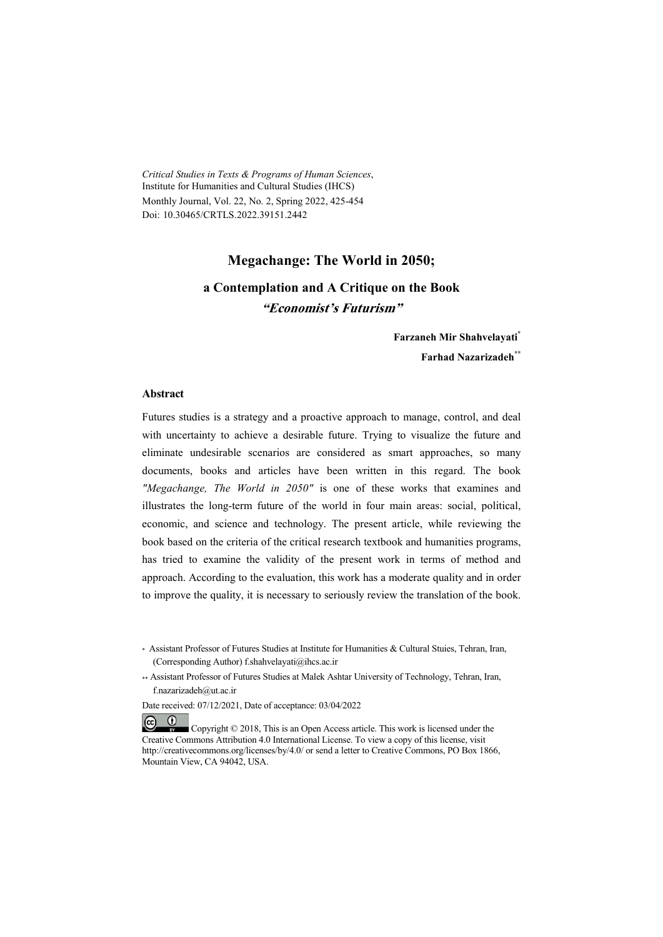*Critical Studies in Texts & Programs of Human Sciences*, Institute for Humanities and Cultural Studies (IHCS) Monthly Journal, Vol. 22, No. 2, Spring 2022, 425-454 Doi: 10.30465/CRTLS.2022.39151.2442

#### **Megachange: The World in 2050;**

### **a Contemplation and A Critique on the Book "Economist's Futurism"**

**Farzaneh Mir Shahvelayati\* Farhad Nazarizadeh\*\***

#### **Abstract**

Futures studies is a strategy and a proactive approach to manage, control, and deal with uncertainty to achieve a desirable future. Trying to visualize the future and eliminate undesirable scenarios are considered as smart approaches, so many documents, books and articles have been written in this regard. The book *"Megachange, The World in 2050"* is one of these works that examines and illustrates the long-term future of the world in four main areas: social, political, economic, and science and technology. The present article, while reviewing the book based on the criteria of the critical research textbook and humanities programs, has tried to examine the validity of the present work in terms of method and approach. According to the evaluation, this work has a moderate quality and in order to improve the quality, it is necessary to seriously review the translation of the book.

\*\* Assistant Professor of Futures Studies at Malek Ashtar University of Technology, Tehran, Iran, f.nazarizadeh@ut.ac.ir

Date received: 07/12/2021, Date of acceptance: 03/04/2022

 $\odot$   $\odot$  Copyright © 2018, This is an Open Access article. This work is licensed under the Creative Commons Attribution 4.0 International License. To view a copy of this license, visit http://creativecommons.org/licenses/by/4.0/ or send a letter to Creative Commons, PO Box 1866, Mountain View, CA 94042, USA.

<sup>\*</sup> Assistant Professor of Futures Studies at Institute for Humanities & Cultural Stuies, Tehran, Iran, (Corresponding Author) f.shahvelayati@ihcs.ac.ir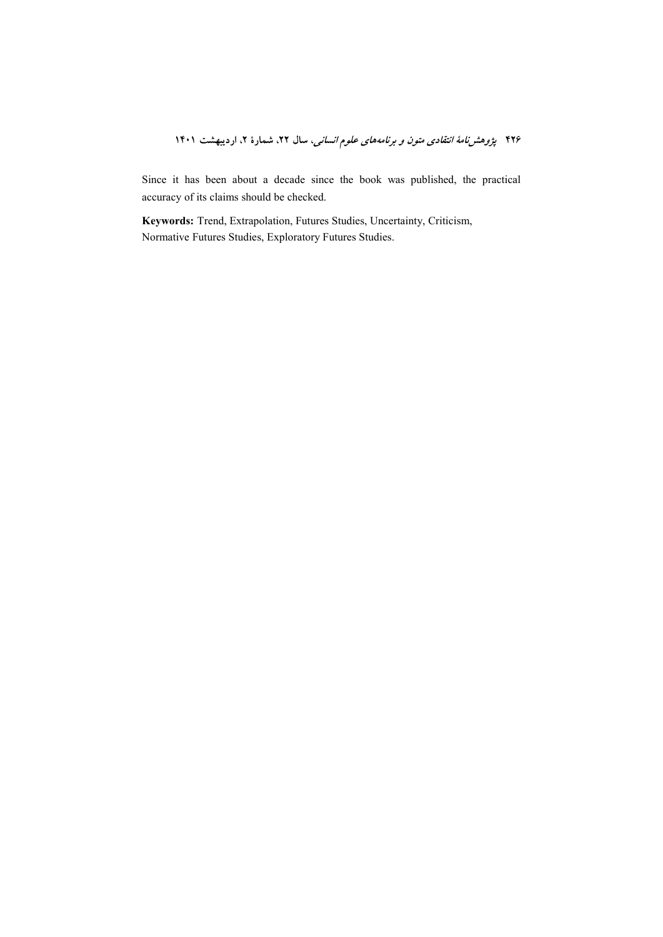Since it has been about a decade since the book was published, the practical accuracy of its claims should be checked.

Keywords: Trend, Extrapolation, Futures Studies, Uncertainty, Criticism, Normative Futures Studies, Exploratory Futures Studies.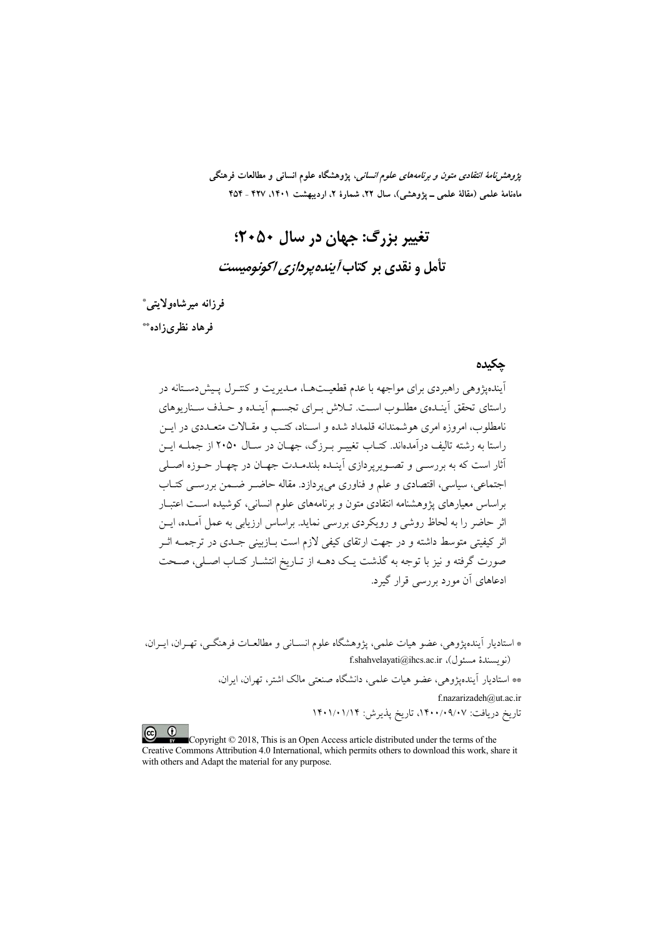*پژوهشنامهٔ انتقادی متون و برنامههای علوم انسانی،* پژوهشگاه علوم انسانی و مطالعات فرهنگی ماهنامهٔ علمی (مقالهٔ علمی ــ پژوهشی)، سال ۲۲، شمارهٔ ۲، اردیبهشت ۱۴۰۱، ۴۲۷ ـ ۴۵۴

تغيير بزرگ: جهان در سال ۲۰۵۰: تأمل و نقدی بر کتاب *آینده پردازی اکونومیست* 

فرزانه ميرشاهولايتي\* فرهاد نظری; اده\*\*

#### حكىدە

.<br>آیندهیژوهی راهبردی برای مواجهه با عدم قطعیتهـا، مـدیریت و کنتـرل پـیش(مسـتانه در راستای تحقق اَینـدهی مطلـوب اسـت. تــلاش بـرای تجسـم اَینـده و حــذف ســناریوهای .<br>نامطلوب، امروزه امری هوشمندانه قلمداد شده و اسـناد، کتـب و مقـالات متعــددی در ايــن راستا به رشته تاليف در آمدهاند. كتــاب تغييـر بــرزگ، جهــان در ســال ۲۰۵۰ از جملــه ابــن أثار است که به بررســي و تصــويو يردازي آينــده بلندمــدت جهــان در چهــار حــوزه اصــلي اجتماعي، سياسي، اقتصادي و علم و فناوري مي يو دازد. مقاله حاضـر ضــمن بررســي كتــاب براساس معیارهای پژوهشنامه انتقادی متون و برنامههای علوم انسانی، کوشیده است اعتبـار اثر حاضر را به لحاظ روشی و رویکردی بررسی نماید. براساس ارزیابی به عمل آمـده، ایــن اثر کیفیتی متوسط داشته و در جهت ارتقای کیفی لازم است بــازبینی جــدی در ترجمــه اثــر صورت گرفته و نیز با توجه به گذشت یک دهــه از تــاریخ انتشــار کتــاب اصــلی، صــحت ادعاهای آن مورد بررسے قرار گیرد.

\* استادیار آیندهیژوهی، عضو هیات علمی، یژوهشگاه علوم انسـانی و مطالعـات فرهنگـی، تهـران، ایـران، (نويسندهٔ مسئول)، f.shahvelayati@ihcs.ac.ir \*\* استادیار آیندهیژوهی، عضو هیات علمی، دانشگاه صنعتی مالک اشتر، تهران، ایران، f.nazarizadeh@ut.ac.ir تاریخ دریافت: ۰/۰۹/۰۷-۱۴۰۰، تاریخ پذیرش: ۱۴۰۱/۰۱/۱۴  $\left( \infty\right)$   $\left( 0\right)$ 

Copyright © 2018, This is an Open Access article distributed under the terms of the Creative Commons Attribution 4.0 International, which permits others to download this work, share it with others and Adapt the material for any purpose.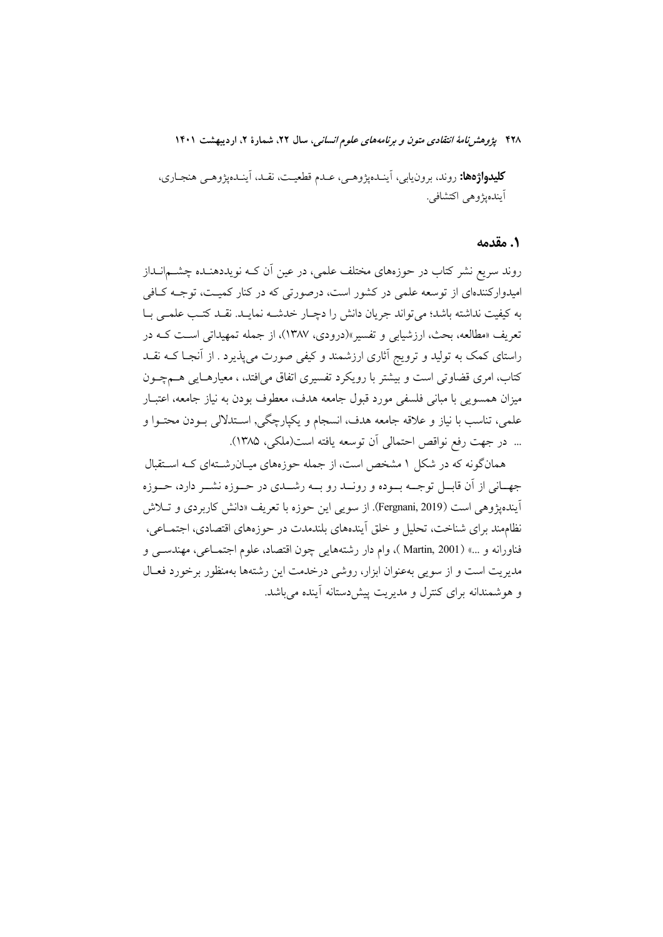**کليدواژهها:** روند، برون<sub>ل</sub>ايي، آينـدهيژوهـي، عـدم قطعيـت، نقـد، آينـدهيژوهـي هنجـاري، آيندهيژوهي اکتشافي.

#### ١. مقدمه

روند سریع نشر کتاب در حوزههای مختلف علمی، در عین اَن کـه نویددهنـده چشــمانــداز امیدوارکنندهای از توسعه علمی در کشور است، درصورتی که در کنار کمیـت، توجــه کــافی به كيفيت نداشته باشد؛ مي تواند جريان دانش را دچــار خدشــه نمايــد. نقــد كتــب علمــي بــا تعريف «مطالعه، بحث، ارزشيابي و تفسير»(درودي، ١٣٨٧)، از جمله تمهيداتي است كـه در راستای کمک به تولید و ترویج آثاری ارزشمند و کیفی صورت میپذیرد . از آنجـا کــه نقــد کتاب، امری قضاوتی است و بیشتر با رویکرد تفسیری اتفاق میافتد، ، معیارهـایی هــمچــون میزان همسویی با مبانی فلسفی مورد قبول جامعه هدف، معطوف بودن به نیاز جامعه، اعتبـار علمي، تناسب با نياز و علاقه جامعه هدف، انسجام و يكپارچگي, اسـتدلالي بــودن محتــوا و ... در جهت رفع نواقص احتمالي آن توسعه يافته است(ملكي، ١٣٨۵).

همانگونه که در شکل ۱ مشخص است، از جمله حوزههای میـانرشـتهای کـه اسـتقبال جهـاني از آن قابــل توجــه بــوده و رونــد رو بــه رشــدي در حــوزه نشــر دارد، حــوزه اَیندهپژوهی است (Fergnani, 2019). از سویی این حوزه با تعریف «دانش کاربردی و تــلاش نظامِمند براي شناخت، تحليل و خلق اّيندههاي بلندمدت در حوزههاي اقتصادي، اجتمــاعي، فناورانه و …» (Martin, 2001 )، وام دار رشتههایی چون اقتصاد، علوم اجتمــاعی، مهندســی و مدیریت است و از سویی بهعنوان ابزار، روشی درخدمت این رشتهها بهمنظور برخورد فعـال و هوشمندانه برای کنترل و مدیریت پیش دستانه آینده می باشد.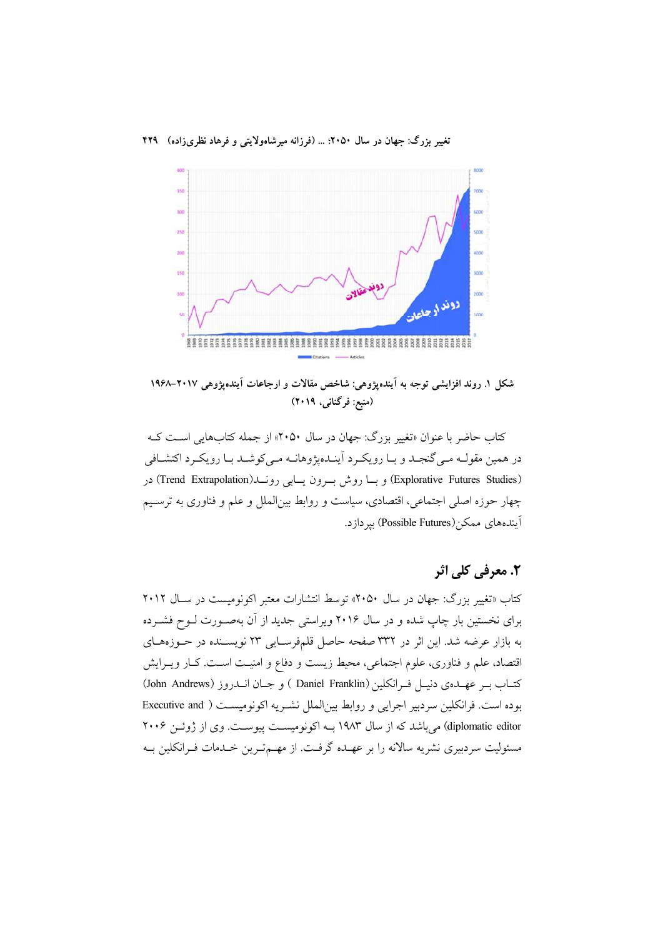

شکل ۱. روند افزایشی توجه به آینده پژوهی: شاخص مقالات و ارجاعات آینده پژوهی ۲۰۱۷–۱۹۶۸ (منبع: فرگنانی، ۲۰۱۹)

کتاب حاضر با عنوان «تغییر بزرگ: جهان در سال ۲۰۵۰» از جمله کتابهایی است کـه در همين مقولـه مـي گنجـد و بــا رويكــرد آينــدهيژوهانــه مـي كوشــد بــا رويكــرد اكتشــافي (Explorative Futures Studies) و بسا روش بسرون يسابي رونسل(Trend Extrapolation) در چهار حوزه اصلی اجتماعی، اقتصادی، سیاست و روابط بینالملل و علم و فناوری به ترسـیم آيندههاي ممكن(Possible Futures) بير دازد.

# **2. معرفی کلی اثر**

کتاب «تغییر بزرگ: جهان در سال ۲۰۵۰» توسط انتشارات معتبر اکونومیست در سـال ۲۰۱۲ برای نخستین بار چاپ شده و در سال ۲۰۱۶ ویراستی جدید از آن بهصورت لـوح فشـرده به بازار عرضه شد. این اثر در ۳۳۲ صفحه حاصل قلمفرسـایی ۲۳ نویسـنده در حـوزههـای اقتصاد، علم و فناوري، علوم اجتماعي، محيط زيست و دفاع و امنيـت اسـت. كـار ويــرايش كتــاب بــر عهــدهي دنيــل فــرانكلين ( Daniel Franklin ) و جــان انــدروز (John Andrews) بوده است. فرانكلين سردبير اجرايي و روابط بين الملل نشـريه اكونوميسـت ( Executive and diplomatic editor) می باشد که از سال ۱۹۸۳ بـه اکونومیسـت پیوسـت. وی از ژوئـن ۲۰۰۶ مسئولیت سردبیری نشریه سالانه را بر عهـده گرفـت. از مهـمترین خـدمات فـرانکلین بـه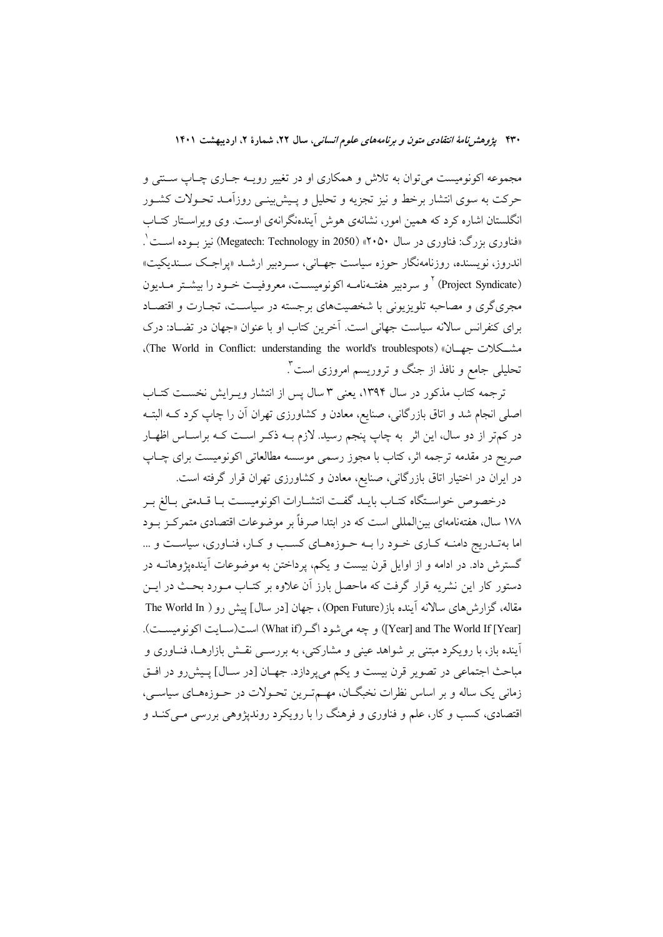مجموعه اکونومیست میتوان به تلاش و همکاری او در تغییر رویــه جــاری چــاپ ســنتی و حرکت به سوی انتشار برخط و نیز تجزیه و تحلیل و پـیش;پینـی روزآمـد تحـولات کشـور انگلستان اشاره کرد که همین امور، نشانهی هوش آیندهنگرانهی اوست. وی ویراستار کتـاب «فناوری بزرگ: فناوری در سال ۲۰۵۰» (Megatech: Technology in 2050) نیز بوده است ْ. اندروز، نویسنده، روزنامهنگار حوزه سیاست جهـانی، سـردبیر ارشــد «پراجـک ســندیکیت» (Project Syndicate) <sup>۲</sup> و سردبیر هفتـهنامــه اکونومیســت، معروفیــت خــود را بیشــتر مــدیون مجریگری و مصاحبه تلویزیونی با شخصیتهای برجسته در سیاسـت، تجـارت و اقتصـاد برای کنفرانس سالانه سیاست جهانی است. آخرین کتاب او با عنوان «جهان در تضـاد: درک مشكلات جهان» (The World in Conflict: understanding the world's troublespots)، تحلیلی جامع و نافذ از جنگ و تروریسم امروزی است".

ترجمه کتاب مذکور در سال ۱۳۹۴، یعنی ۳ سال پس از انتشار ویـرایش نخسـت کتـاب اصلی انجام شد و اتاق بازرگانی، صنایع، معادن و کشاورزی تهران آن را چاپ کرد کــه البتــه در کم تر از دو سال، این اثر به چاپ پنجم رسید. لازم بــه ذکــر اســت کــه براســاس اظهــار صریح در مقدمه ترجمه اثر، کتاب با مجوز رسمی موسسه مطالعاتی اکونومیست برای چـاپ در ایران در اختیار اتاق بازرگانی، صنایع، معادن و کشاورزی تهران قرار گرفته است.

درخصوص خواسـتگاه كتـاب بايــد گفـت انتشــارات اكونوميسـت بــا قــدمتى بــالغ بــر ۱۷۸ سال، هفتهنامهای بین(لمللی است که در ابتدا صرفاً بر موضوعات اقتصادی متمرکز بود اما بهتـدريج دامنــه كـاري خــود را بــه حــوزههــاي كسـب و كــار، فنــاوري، سياســت و ... گسترش داد. در ادامه و از اوایل قرن بیست و یکم، پرداختن به موضوعات آیندهیژوهانــه در دستور کار این نشریه قرار گرفت که ماحصل بارز آن علاوه بر کتـاب مـورد بحـث در ایــن مقاله، گزارش های سالانه آینده باز(Open Future)، جهان [در سال] پیش رو ( The World In [Year] and The World If [Year]) و چه می شود اگـر(What if) است(سـایت اکونومیسـت). آینده باز، با رویکرد مبتنی بر شواهد عینی و مشارکتی، به بررســی نقــش بازارهــا، فنــاوری و مباحث اجتماعي در تصوير قرن بيست و يكم مي پردازد. جهـان [در سـال] پـيشررو در افـق زمانی یک ساله و بر اساس نظرات نخبگــان، مهــمتــرین تحــولات در حــوزههــای سیاســی، اقتصادي، کسب و کار، علم و فناوري و فرهنگ را با رويکرد رونديژوهي بررسي مـي کنــد و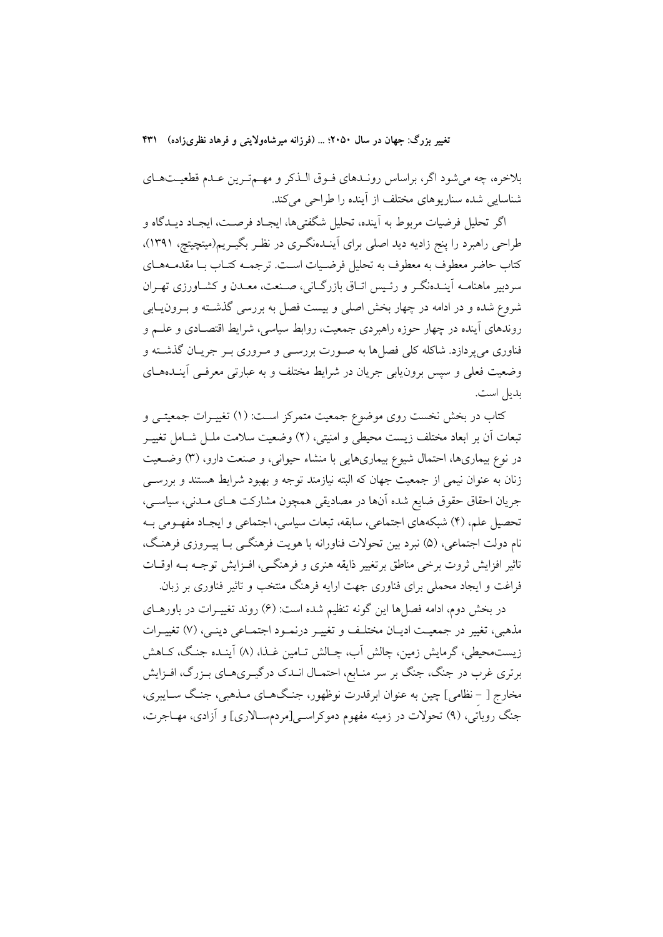بلاخره، چه می شود اگر، براساس رونـدهای فـوق الـذکر و مهـمترین عـدم قطعیـتهـای شناسایی شده سناریوهای مختلف از آینده را طراحی میکند.

اگر تحليل فرضيات مربوط به آينده، تحليل شگفتيها، ايجـاد فرصـت، ايجـاد ديــدگاه و طراحی راهبرد را پنج زادیه دید اصلی برای آینـدهنگـری در نظـر بگیـریم(میتچیتچ، ۱۳۹۱)، كتاب حاضر معطوف به معطوف به تحليل فرضـيات اسـت. ترجمــه كتــاب بــا مقدمــههــاي سردبیر ماهنامــه آینــدهنگــر و رئــیس اتــاق بازرگــانی، صــنعت، معــدن و کشــاورزی تهــران شروع شده و در ادامه در چهار بخش اصلی و بیست فصل به بررسی گذشته و بـرونLبابی روندهای اَینده در چهار حوزه راهبردی جمعیت، روابط سیاسی، شرایط اقتصـادی و علــم و .<br>فناوري مي يودازد. شاكله كلي فصلها به صـورت بررسـي و مـروري بـر جريــان گذشــته و وضعیت فعلی و سپس برون یابی جریان در شرایط مختلف و به عبارتی معرفـی آینــدههــای بديل است.

کتاب در بخش نخست روی موضوع جمعیت متمرکز اسـت: (۱) تغییـرات جمعیتـی و تبعات أن بر ابعاد مختلف زيست محيطي و امنيتي، (٢) وضعيت سلامت ملــل شــامل تغييــر در نوع بیماریها، احتمال شیوع بیماریهایی با منشاء حیوانی، و صنعت دارو، (۳) وضـعیت زنان به عنوان نیمی از جمعیت جهان که البته نیازمند توجه و بهبود شرایط هستند و بررســی جريان احقاق حقوق ضايع شده آنها در مصاديقي همچون مشاركت هـاي مـدني، سياسـي، تحصیل علم، (۴) شبکههای اجتماعی، سابقه، تبعات سیاسی، اجتماعی و ایجـاد مفهـومی بـه نام دولت اجتماعي، (۵) نبرد بين تحولات فناورانه با هويت فرهنگـي بــا پيــروزي فرهنـگ، تاثیر افزایش ثروت برخی مناطق برتغییر ذایقه هنری و فرهنگـی، افـزایش توجـه بـه اوقــات فراغت و ایجاد محملی برای فناوری جهت ارایه فرهنگ منتخب و تاثیر فناوری بر زبان.

در بخش دوم، ادامه فصلها این گونه تنظیم شده است: (۶) روند تغییـرات در باورهــای مذهبي، تغيير در جمعيت اديـان مختلـف و تغييـر درنمـود اجتمـاعي دينـي، (٧) تغييـرات زیست.حیطی، گرمایش زمین، چالش اَب، چـالش تـامین غــذا، (۸) اَینــده جنـگ، کــاهش برتری غرب در جنگ، جنگ بر سر منـابع، احتمـال انـدک درگیـریهـای بـزرگ، افـزايش مخارج [ – نظامي] چين به عنوان ابرقدرت نوظهور، جنگهـاي مـذهبي، جنـگ سـايبري، جنگ روباتی، (۹) تحولات در زمینه مفهوم دموکراسی[مردمسالاری] و آزادی، مهـاجرت،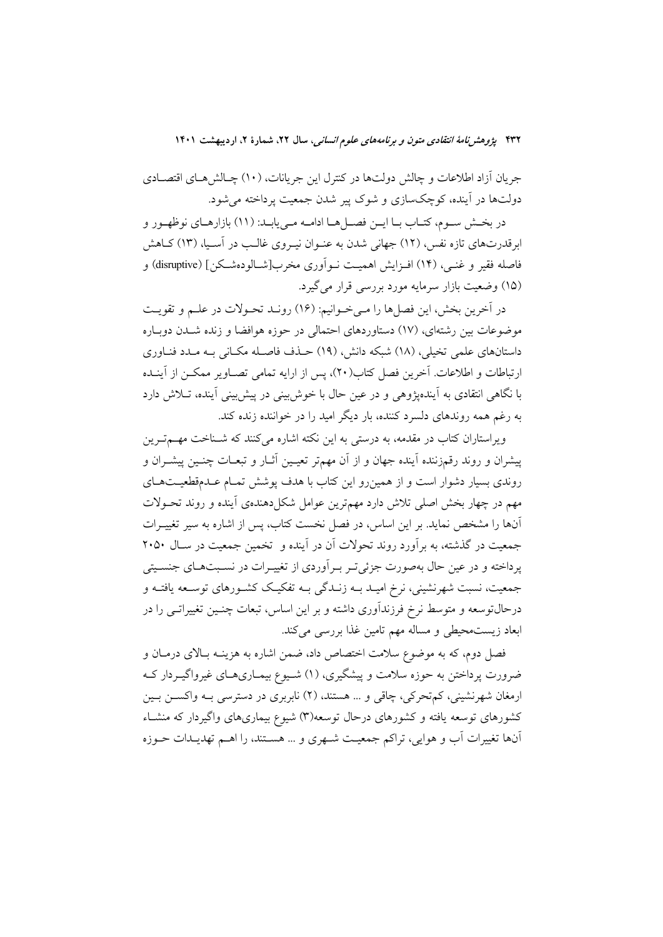جریان آزاد اطلاعات و چالش دولتها در کنترل این جریانات، (۱۰) چـالش هـای اقتصـادی دولتها در آینده، کوچکسازی و شوک پیر شدن جمعیت پرداخته می شود.

در بخــش ســوم، كتــاب بــا ايــن فصــل هــا ادامــه مــى يابــد: (١١) بازارهــاي نوظهــور و ابرقدرتهای تازه نفس، (١٢) جهانی شدن به عنـوان نیـروی غالـب در آسـیا، (١٣) كــاهش فاصله فقير و غنــي، (١۴) افــزايش اهـميــت نــواَوري مخرب[شــالودهشــكن] (disruptive) و (۱۵) وضعیت بازار سرمایه مورد بررسی قرار می گیرد.

در آخرین بخش، این فصلها را مـیخـوانیم: (١۶) رونـد تحـولات در علـم و تقویـت موضوعات بین رشتهای، (١٧) دستاوردهای احتمالی در حوزه هوافضا و زنده شـدن دوبـاره داستانهای علمی تخیلی، (۱۸) شبکه دانش، (۱۹) حــذف فاصــله مکــانی بــه مــدد فنــاوری ارتباطات و اطلاعات. آخرین فصل کتاب(۲۰)، پس از ارایه تمامی تصــاویر ممکــن از آینــده با نگاهی انتقادی به آیندهیژوهی و در عین حال با خوش بینی در پیش بینی آینده، تــلاش دارد به رغم همه روندهای دلسرد کننده، بار دیگر امید را در خواننده زنده کند.

ویراستاران کتاب در مقدمه، به درستی به این نکته اشاره میکنند که شــناخت مهــمتــرین پیشران و روند رقمزننده آینده جهان و از آن مهمتر تعیـین آثـار و تبعـات چنـین پیشـران و روندی بسیار دشوار است و از همین رو این کتاب با هدف پوشش تمـام عـدمقطعیـتهـای مهم در چهار بخش اصلی تلاش دارد مهمترین عوامل شکلدهندهی آینده و روند تحـولات آنها را مشخص نماید. بر این اساس، در فصل نخست کتاب، پس از اشاره به سیر تغییـرات جمعیت در گذشته، به برآورد روند تحولات آن در آینده و تخمین جمعیت در سـال ۲۰۵۰ یرداخته و در عین حال بهصورت جزئی تـر بـر آوردی از تغییـرات در نسـبتهـای جنسـیتی جمعیت، نسبت شهرنشینی، نرخ امیـد بــه زنــدگی بــه تفکیـک کشــورهای توســعه یافتــه و درحالتوسعه و متوسط نرخ فرزندآوری داشته و بر این اساس، تبعات چنـین تغییراتـی را در ابعاد زیستمحیطی و مساله مهم تامین غذا بررسی میکند.

فصل دوم، که به موضوع سلامت اختصاص داد، ضمن اشاره به هزینــه بــالای درمــان و ضرورت پرداختن به حوزه سلامت و پیشگیری، (۱) شـیوع بیمـاریهـای غیرواگیـردار کـه ارمغان شهرنشینی، کم تحرکی، چاقی و … هستند، (۲) نابربری در دسترسی بـه واکســـز بــین کشورهای توسعه یافته و کشورهای درحال توسعه(۳) شیوع بیماریهای واگیردار که منشـاء آنها تغییرات آب و هوایی، تراکم جمعیت شـهری و … هسـتند، را اهـم تهدیـدات حـوزه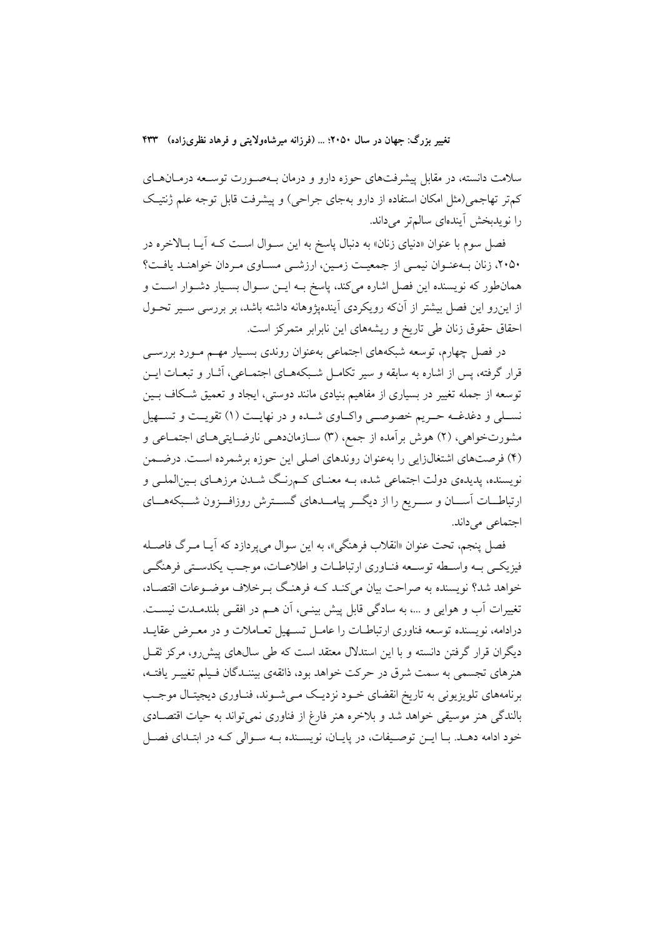سلامت دانسته، در مقابل پیشرفتهای حوزه دارو و درمان بـهصـورت توسـعه درمـانهـای کمتر تهاجمی(مثل امکان استفاده از دارو بهجای جراحی) و پیشرفت قابل توجه علم ژنتیک را نویدبخش آیندهای سالم تر میداند.

فصل سوم با عنوان «دنیای زنان» به دنبال پاسخ به این سـوال اسـت کـه آیـا بـالاخره در ۲۰۵۰، زنان بهعنـوان نیمـی از جمعیـت زمـین، ارزشـی مسـاوی مـردان خواهنـد یافـت؟ همان طور که نویسنده این فصل اشاره میکند، پاسخ بـه ایــن ســوال بســیار دشــوار اســت و از این رو این فصل بیشتر از آنکه رویکردی آیندهپژوهانه داشته باشد، بر بررسی سـیر تحـول احقاق حقوق زنان طی تاریخ و ریشههای این نابرابر متمرکز است.

در فصل چهارم، توسعه شبکههای اجتماعی بهعنوان روندی بسـیار مهـم مـورد بررســی قرار گرفته، پس از اشاره به سابقه و سیر تکامـل شـبکههـای اجتمـاعی، آثــار و تبعــات ايــن توسعه از جمله تغییر در بسیاری از مفاهیم بنیادی مانند دوستی، ایجاد و تعمیق شکاف بـین نســلي و دغدغــه حــريم خصوصــي واكــاوي شــده و در نهايــت (١) تقويــت و تســهيل مشورتخواهی، (۲) هوش برآمده از جمع، (۳) سـازماندهـی نارضـایتیهـای اجتمـاعی و (۴) فرصتهای اشتغالزایی را بهعنوان روندهای اصلی این حوزه برشمرده است. درضمن نویسنده، پدیدهی دولت اجتماعی شده، بـه معنـای کــمرنـگ شــدن مرزهـای بــین|لملــی و ارتباطــات آســـان و ســـريع را از ديگـــر پيامـــدهاى گســـترش روزافـــزون شـــبكههـــاى اجتماعي مي داند.

فصل پنجم، تحت عنوان «انقلاب فرهنگي»، به اين سوال ميپردازد كه آيـا مـرگ فاصـله فيزيكـي بــه واســطه توســعه فنــاوري ارتباطــات و اطلاعــات، موجــب يكدســتي فرهنگــي خواهد شد؟ نویسنده به صراحت بیان میکند کـه فرهنـگ بـرخلاف موضـوعات اقتصـاد، تغییرات آب و هوایی و …، به سادگی قابل پیش بینـی، آن هــم در افقـی بلندمــدت نیســت. درادامه، نویسنده توسعه فناوری ارتباطـات را عامـل تسـهیل تعـاملات و در معـرض عقایــد دیگران قرار گرفتن دانسته و با این استدلال معتقد است که طی سالهای پیش رو، مرکز ثقـل هنرهای تجسمی به سمت شرق در حرکت خواهد بود، ذائقهی بیننـدگان فـیلم تغییـر یافتـه، برنامههای تلویزیونی به تاریخ انقضای خـود نزدیـک مـیشـوند، فنـاوری دیجیتـال موجـب بالندگی هنر موسیقی خواهد شد و بلاخره هنر فارغ از فناوری نمیٍتواند به حیات اقتصـادی خود ادامه دهـد. بـا ايــن توصـيفات، در پايــان، نويســنده بــه ســوالي كــه در ابتــداي فصــل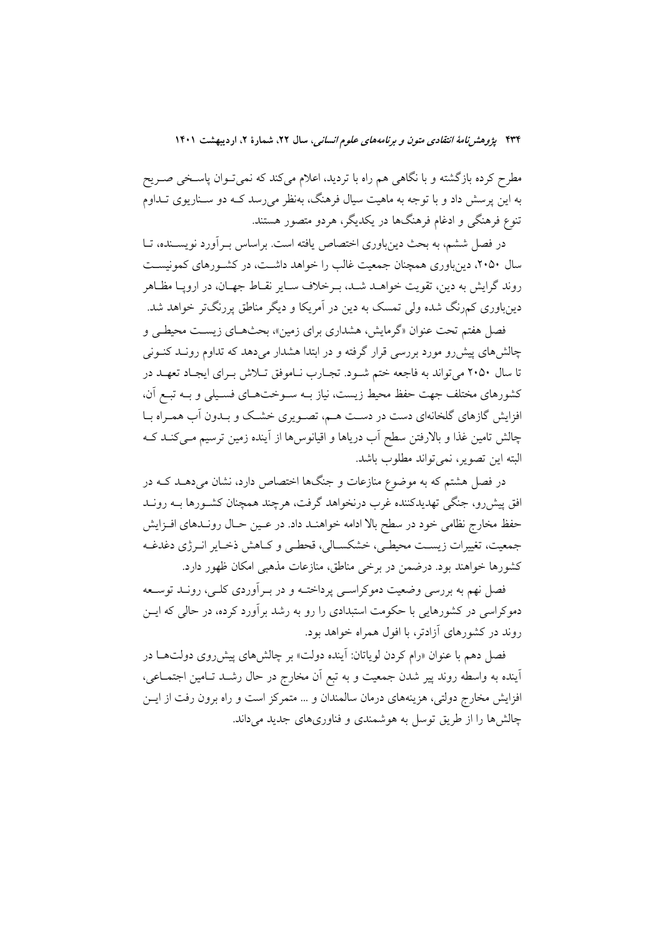مطرح کرده بازگشته و با نگاهی هم راه با تردید، اعلام میکند که نمیتوان پاسـخی صـریح به این پرسش داد و با توجه به ماهیت سیال فرهنگ، بهنظر می رسد کــه دو ســناریوی تــداوم تنوع فرهنگی و ادغام فرهنگها در یکدیگر، هردو متصور هستند.

در فصل ششم، به بحث دینباوری اختصاص یافته است. براساس بـرآورد نویســنده، تــا سال ۲۰۵۰، دینباوری همچنان جمعیت غالب را خواهد داشـت، در کشـورهای کمونیسـت روند گرایش به دین، تقویت خواهـد شـد، بـرخلاف سـایر نقـاط جهـان، در اروپـا مظـاهر دینباوری کمرنگ شده ولی تمسک به دین در آمریکا و دیگر مناطق پررنگتر خواهد شد.

فصل هفتم تحت عنوان «گرمایش، هشداری برای زمین»، بحثهـای زیسـت محیطـی و چالشهای پیش رو مورد بررسی قرار گرفته و در ابتدا هشدار میدهد که تداوم رونـد کنــونی تا سال ۲۰۵۰ می تواند به فاجعه ختم شود. تجـارب نـاموفق تـلاش بـرای ایجـاد تعهـد در كشورهاي مختلف جهت حفظ محيط زيست، نياز بــه ســوختهــاي فسـيلي و بــه تبــع آن، افزایش گازهای گلخانهای دست در دست هـم، تصـویری خشـک و بـدون آب همـراه بـا چالش تامین غذا و بالارفتن سطح آب دریاها و اقیانوسها از آینده زمین ترسیم مـیکنـد کـه اليته ابن تصوير، نمي تواند مطلوب باشد.

در فصل هشتم که به موضوع منازعات و جنگها اختصاص دارد، نشان میدهــد کــه در افق پیشررو، جنگی تهدیدکننده غرب درنخواهد گرفت، هرچند همچنان کشـورها بــه رونــد حفظ مخارج نظامی خود در سطح بالا ادامه خواهنـد داد. در عـين حـال رونـدهاى افـزايش جمعيت، تغييرات زيست محيطيي، خشكسـالي، قحطـي و كـاهش ذخـاير انـرژي دغدغـه كشورها خواهند بود. درضمن در برخي مناطق، منازعات مذهبي امكان ظهور دارد.

فصل نهم به بررسی وضعیت دموکراسـی پرداختــه و در بــراّوردی کلــی، رونــد توســعه دموکراسی در کشورهایی با حکومت استبدادی را رو به رشد برآورد کرده، در حالی که ایـــن روند در کشورهای آزادتر، با افول همراه خواهد بود.

فصل دهم با عنوان «رام کردن لویاتان: آینده دولت» بر چالشهای پیشرروی دولتهــا در اًینده به واسطه روند پیر شدن جمعیت و به تبع اَن مخارج در حال رشــد تــامین اجتمــاعی، افزایش مخارج دولتی، هزینههای درمان سالمندان و … متمرکز است و راه برون رفت از ایس چالشها را از طریق توسل به هوشمندی و فناوریهای جدید می داند.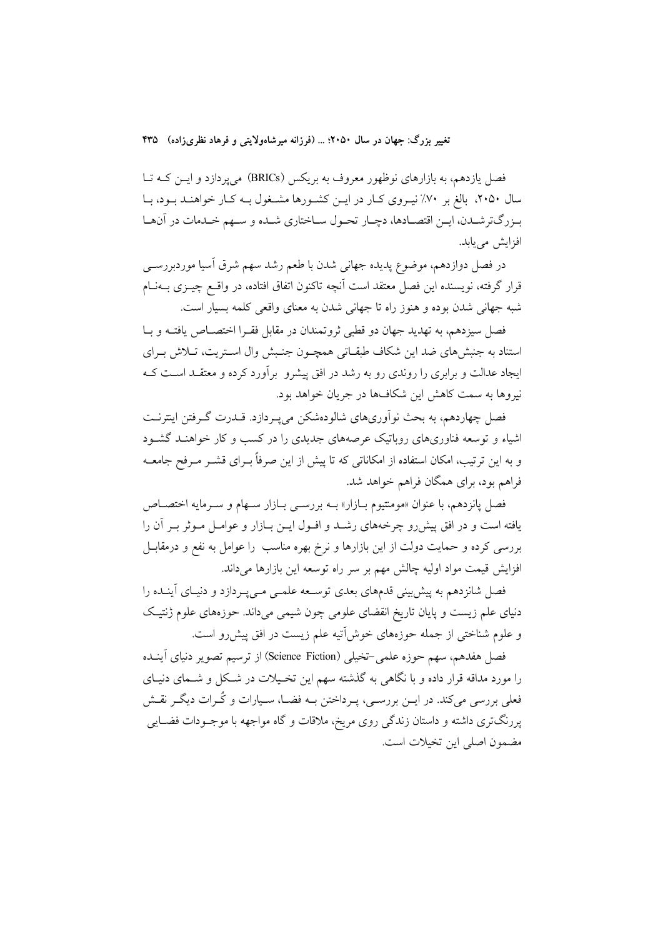فصل یازدهم، به بازارهای نوظهور معروف به بریکس (BRICs) میپردازد و ایــن کــه تــا سال ۲۰۵۰، بالغ بر ۷۰٪ نیـروی کـار در ایــن کشــورها مشــغول بــه کـار خواهنــد بــود، بــا بـزرگترشـدن، ايـن اقتصـادها، دچـار تحـول سـاختاري شـده و سـهم خـدمات در آنهـا افزايش مي يابد.

در فصل دوازدهم، موضوع پدیده جهانی شدن با طعم رشد سهم شرق اسیا موردبررســی قرار گرفته، نویسنده این فصل معتقد است آنچه تاکنون اتفاق افتاده، در واقــع چیــزی بــهنــام شبه جهاني شدن بوده و هنوز راه تا جهاني شدن به معناي واقعي كلمه بسيار است.

فصل سيزدهم، به تهديد جهان دو قطبي ثروتمندان در مقابل فقـرا اختصــاص يافتــه و بــا استناد به جنبشهای ضد این شکاف طبقـاتی همچـون جنـبش وال اسـتریت، تـلاش بـرای ایجاد عدالت و برابری را روندی رو به رشد در افق پیشرو بر آورد کرده و معتقـد اسـت کـه نیروها به سمت کاهش این شکافها در جریان خواهد بود.

فصل چهاردهم، به بحث نوآوریهای شالودهشکن می پهردازد. قــدرت گــرفتن اینترنــت اشیاء و توسعه فناوریهای روباتیک عرصههای جدیدی را در کسب و کار خواهنـد گشـود و به این ترتیب، امکان استفاده از امکاناتی که تا پیش از این صرفاً بـرای قشــر مــرفح جامعــه فراهم بود، برای همگان فراهم خواهد شد.

فصل پانزدهم، با عنوان «مومنتيوم بـازار» بــه بررســي بــازار ســهام و ســرمايه اختصــاص یافته است و در افق پیش رو چرخههای رشــد و افــول ایــن بــازار و عوامــل مــوثر بــر آن را بررسی کرده و حمایت دولت از این بازارها و نرخ بهره مناسب را عوامل به نفع و درمقابـل افزايش قيمت مواد اوليه چالش مهم بر سر راه توسعه اين بازارها مي داند.

فصل شانزدهم به پیش بینی قدمهای بعدی توسعه علمـی مـیپـردازد و دنیـای آینـده را دنیای علم زیست و پایان تاریخ انقضای علومی چون شیمی میداند. حوزههای علوم ژنتیک و علوم شناختی از جمله حوزههای خوشآتیه علم زیست در افق پیشررو است.

فصل هفدهم، سهم حوزه علمي –تخيلي (Science Fiction) از ترسيم تصوير دنياي آينــده را مورد مداقه قرار داده و با نگاهی به گذشته سهم این تخـیلات در شـکل و شــمای دنیـای فعلمی بررسی میکند. در ایــن بررســی، پــرداختن بــه فضــا، ســیارات و کُــرات دیگــر نقــش پررنگتری داشته و داستان زندگی روی مریخ، ملاقات و گاه مواجهه با موجـودات فضـایی مضمون اصلي ابن تخيلات است.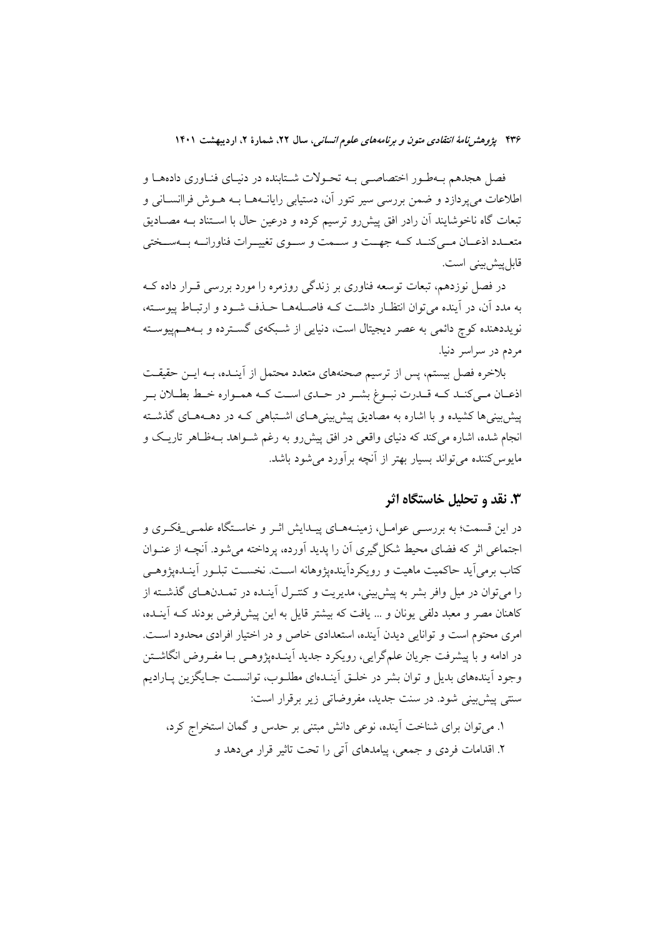فصل هجدهم بـهطـور اختصاصـي بـه تحـولات شـتابنده در دنيـاي فنـاوري دادههـا و اطلاعات مي يودازد و ضمن بررسي سير تتور آن، دستيابي رايانــههــا بــه هــوش فراانســاني و تبعات گاه ناخوشایند آن رادر افق پیش رو ترسیم کرده و درعین حال با اسـتناد بـه مصـادیق متعــدد اذعــان مــي كنــد كــه جهــت و ســمت و ســوى تغييــرات فناورانــه بــهســختى قابل پیش بینی است.

در فصل نوزدهم، تبعات توسعه فناوری بر زندگی روزمره را مورد بررسی قـرار داده کــه به مدد آن، در آینده می توان انتظـار داشـت کـه فاصـلههـا حـذف شـود و ارتبـاط ییوسـته، نویددهنده کوچ دائمی به عصر دیجیتال است، دنیایی از شـبکهی گسـترده و بـههـمپیوسـته مردم در سراسر دنیا.

بلاخره فصل بیستم، پس از ترسیم صحنههای متعدد محتمل از آینـده، بــه ایــن حقیقــت اذعـان مـي كنـد كـه قـدرت نبـوغ بشـر در حـدي اسـت كـه همـواره خـط بطـلان بـر پیش بینی ها کشیده و با اشاره به مصادیق پیش بینی هـای اشـتباهی کـه در دهــههـای گذشــته انجام شده، اشاره میکند که دنیای واقعی در افق پیش رو به رغم شـواهد بـهظـاهر تاریـک و مایوس کننده می تواند بسیار بهتر از آنچه بر آورد می شود باشد.

#### ۳. نقد و تحلیل خاستگاه اثر

در این قسمت؛ به بررسـی عوامـل، زمینــههـای پیــدایش اثــر و خاســتگاه علمــی\_فکــری و اجتماعی اثر که فضای محیط شکل گیری آن را یدید آورده، یرداخته می شود. آنچــه از عنــوان کتاب برمی آید حاکمیت ماهیت و رویکردآیندهیژوهانه است. نخســت تبلــور آینــدهیژوهــی را میتوان در میل وافر بشر به پیشبینی، مدیریت و کنتـرل اَینـده در تمـدنهـای گذشــته از کاهنان مصر و معبد دلفی یونان و … یافت که بیشتر قایل به این پیشفررض بودند کــه اَینــده، امری محتوم است و توانایی دیدن آینده، استعدادی خاص و در اختیار افرادی محدود اسـت. در ادامه و با پیشرفت جریان علمگرایی، رویکرد جدید آینـدهیژوهـی بـا مفـروض انگاشــتن وجود اَیندههای بدیل و توان بشر در خلـق اَینـدهای مطلـوب، توانسـت جـایگزین پـارادیم سنتي پيش بيني شود. در سنت جديد، مفروضاتي زير برقرار است:

۱. می توان برای شناخت اً ینده، نوعی دانش مبتنی بر حدس و گمان استخراج کرد، ۲. اقدامات فردی و جمعی، پیامدهای آتی را تحت تاثیر قرار می دهد و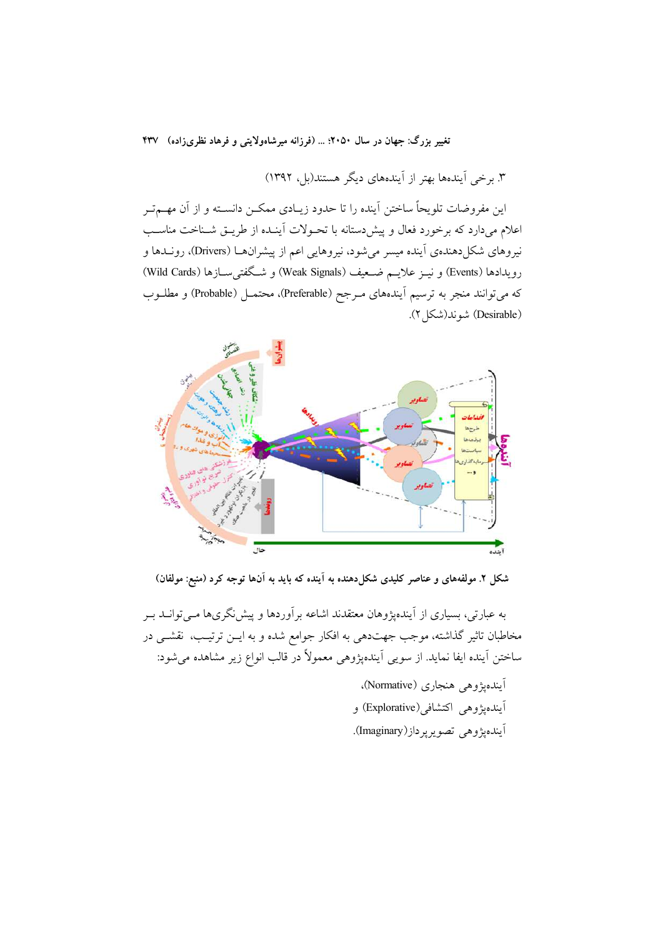۳. برخی آیندهها بهتر از آیندههای دیگر هستند(بل، ۱۳۹۲)

این مفروضات تلویحاً ساختن آینده را تا حدود زیـادی ممکــن دانســته و از آن مهــمتــر اعلام میدارد که برخورد فعال و پیشدستانه با تحـولات أینـده از طریـق شـناخت مناسـب نیروهای شکل دهندهی آینده میسر می شود، نیروهایی اعم از پیشرانهـا (Drivers)، رونــدها و رويدادها (Events) و نيــز علايــم ضــعيف (Weak Signals) و شــگفتىِســازها (Wild Cards) كه مىتوانند منجر به ترسيم أيندههاى مـرجح (Preferable)، محتمــل (Probable) و مطلــوب (Desirable) شوند(شکل ۲).



شکل ۲. مولفههای و عناصر کلیدی شکل(دهنده به آینده که باید به آنها توجه کرد (منبع: مولفان)

به عبارتی، بسیاری از آیندهیژوهان معتقدند اشاعه برآوردها و پیش نگریها مـبی توانــد بــر مخاطبان تاثیر گذاشته، موجب جهتدهی به افکار جوامع شده و به ایــن ترتیـب، نقشــی در ساختن آينده ايفا نمايد. از سويي آيندهپژوهي معمولاً در قالب انواع زير مشاهده مي شود:

> أيندهيژوهي هنجاري (Normative)، اَيندهپژوهي اکتشافي(Explorative) و آيندهپژوهي تصويرپرداز(Imaginary).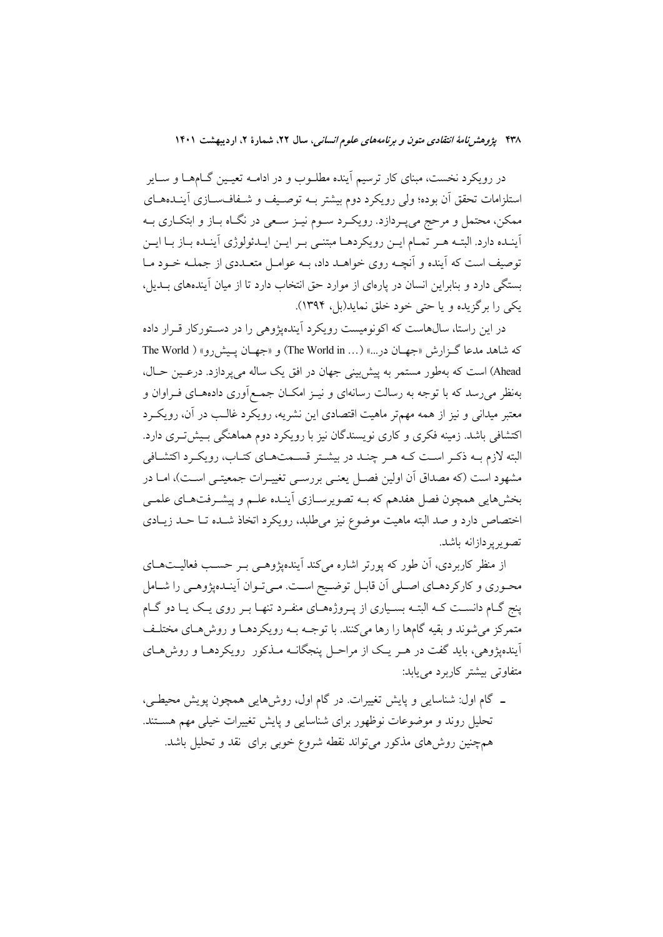در رویکرد نخست، مبنای کار ترسیم آینده مطلــوب و در ادامــه تعیــین گــامهــا و ســایر استلزامات تحقق آن بوده؛ ولي رويكرد دوم بيشتر بـه توصـيف و شـفافسـازي آينـدههـاي ممکن، محتمل و مرحج میپـردازد. رویکـرد سـوم نیـز سـعی در نگـاه بـاز و ابتکـاری بـه اًينـده دارد. البتـه هـر تمـام ايـن رويكردهـا مبتنـى بـر ايـن ايـدئولوژي اَينـده بـاز بـا ايـن توصیف است که آینده و آنچــه روی خواهــد داد، بــه عوامــل متعــددی از جملــه خــود مــا بستگی دارد و بنابراین انسان در یارهای از موارد حق انتخاب دارد تا از میان آیندههای بــدیل، يکې را برگزيده و يا حتى خود خلق نمايد(بل، ١٣٩۴).

در این راستا، سال0هاست که اکونومیست رویکرد آیندهیژوهی را در دسـتورکار قـرار داده كه شاهد مدعا گـزارش «جهـان در...» (... The World in) و «جهـان پـیش(و» ( The World Ahead) است که بهطور مستمر به پیش بینی جهان در افق یک ساله می یردازد. درعیین حیال، بهنظر می رسد که با توجه به رسالت رسانهای و نیـز امکــان جمـع|وری دادههــای فــراوان و معتبر میدانی و نیز از همه مهمتر ماهیت اقتصادی این نشریه، رویکرد غالـب در آن، رویکـرد اکتشافی باشد. زمینه فکری و کاری نویسندگان نیز با رویکرد دوم هماهنگی بـیشتری دارد. البته لازم بـه ذکـر اسـت کـه هـر چنـد در بیشـتر قسـمتحـای کتـاب، رویکـرد اکتشـافی مشهود است (که مصداق آن اولین فصـل یعنـی بررسـی تغییـرات جمعیتـی اسـت)، امـا در بخشهایی همچون فصل هفدهم که بــه تصویرســازی اَینــده علــم و پیشــرفتهــای علمــی اختصاص دارد و صد البته ماهيت موضوع نيز مي طلبد، رويكرد اتخاذ شـده تــا حــد زيــادي تصوير پر دازانه باشد.

از منظر کاربردی، اَن طور که پورتر اشاره میکند اَیندهیژوهـی بـر حسـب فعالیـتهـای محـوري و كاركردهـاي اصـلي أن قابـل توضـيح اسـت. مـيتـوان أينـدهپژوهـي را شـامل ینج گــام دانســت کــه البتــه بســیاری از یــروژههــای منفــرد تنهــا بــر روی یــک یــا دو گــام متمرکز میشوند و بقیه گامها را رها میکنند. با توجـه بــه رویکردهــا و روشهـای مختلــف آیندهیژوهی، باید گفت در هـر یـک از مراحـل پنجگانــه مــذکور رویکردهــا و روش هــای متفاوتی بیشتر کاربرد می یابد:

۔ گام اول: شناسایی و پایش تغییرات در گام اول، روش۵ایی همچون یویش محیطے، تحلیل روند و موضوعات نوظهور برای شناسایی و پایش تغییرات خیلی مهم هســتند. همچنین روش۵ای مذکور میٍتواند نقطه شروع خوبی برای نقد و تحلیل باشد.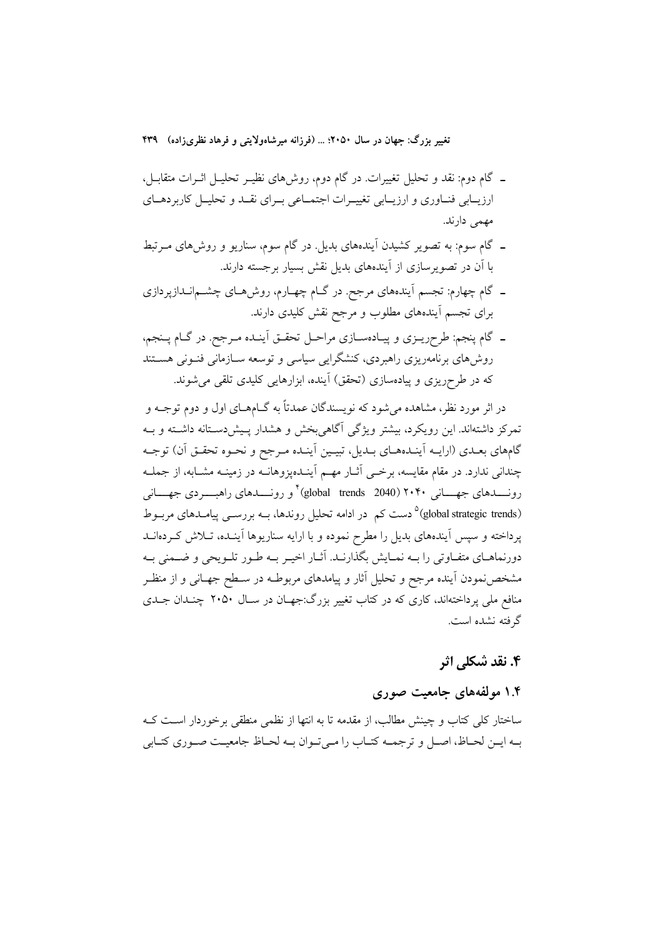- ـ گام دوم: نقد و تحلیل تغییرات. در گام دوم، روشهای نظیـر تحلیـل اثــرات متقابــل، ارزیــابی فنــاوری و ارزیــابی تغییــرات اجتمــاعی بــرای نقــد و تحلیــل کاربردهــای مهمی دارند.
- ـ گام سوم: به تصویر کشیدن آیندههای بدیل. در گام سوم، سناریو و روشهای مــرتبط با اَن در تصویرسازی از اَیندههای بدیل نقش بسیار برجسته دارند.
- ـ گام چهارم: تجسم اَیندههای مرجح. در گــام چهــارم، روش۵هـای چشــم|نــدازپردازی برای تجسم آیندههای مطلوب و مرجح نقش کلیدی دارند.
- ـ گام پنجم: طرحِریــزی و پیــادهســازی مراحــل تحقــق اَینــده مــرجح. در گــام پــنجم، روشهای برنامهریزی راهبردی، کنشگرایی سیاسی و توسعه سـازمانی فنـونی هسـتند که در طرحریزی و پیادهسازی (تحقق) آینده، ابزارهایی کلیدی تلقی میشوند.

در اثر مورد نظر، مشاهده مي شود كه نويسندگان عمدتاً به گــامهــاي اول و دوم توجــه و تمرکز داشتهاند. این رویکرد، بیشتر ویژگی آگاهی بخش و هشدار پـیش(مسـتانه داشـته و بـه گامهای بعـدی (ارایــه اَینـدههـای بـدیل، تبیـین اَینـده مـرجح و نحـوه تحقـق اَن) توجـه چندانی ندارد. در مقام مقایسه، برخبی آثــار مهــم آینــدهیزوهانــه در زمینــه مشــابه، از جملــه رونسدهای جهسانی ۲۰۴۰ (global trends 2040) کمی راهب دی جهسانی (global strategic trends)<sup>۵</sup> دست کم در ادامه تحلیل روندها، بــه بررســی پیامــدهای مربــوط یرداخته و سپس آیندههای بدیل را مطرح نموده و با ارایه سناریوها آینـده، تــلاش کــردهانــد دورنماهـاي متفـاوتي را بــه نمـايش بگذارنــد. آثــار اخيــر بــه طــور تلــويحي و ضــمني بــه مشخصنمودن آینده مرجح و تحلیل آثار و پیامدهای مربوطـه در سـطح جهـانی و از منظـر منافع ملی پرداختهاند، کاری که در کتاب تغییر بزرگ:جهـان در سـال ۲۰۵۰ چنـدان جـدی گرفته نشده است.

# ۴. نقد شکلی اثر

### ۱.۴ مولفههای جامعیت صوری

ساختار کلی کتاب و چینش مطالب، از مقدمه تا به انتها از نظمی منطقی برخوردار اسـت کـه بـه ايـن لحـاظ، اصـل و ترجمــه كتـاب را مـىتـوان بــه لحـاظ جامعيــت صـورى كتـابى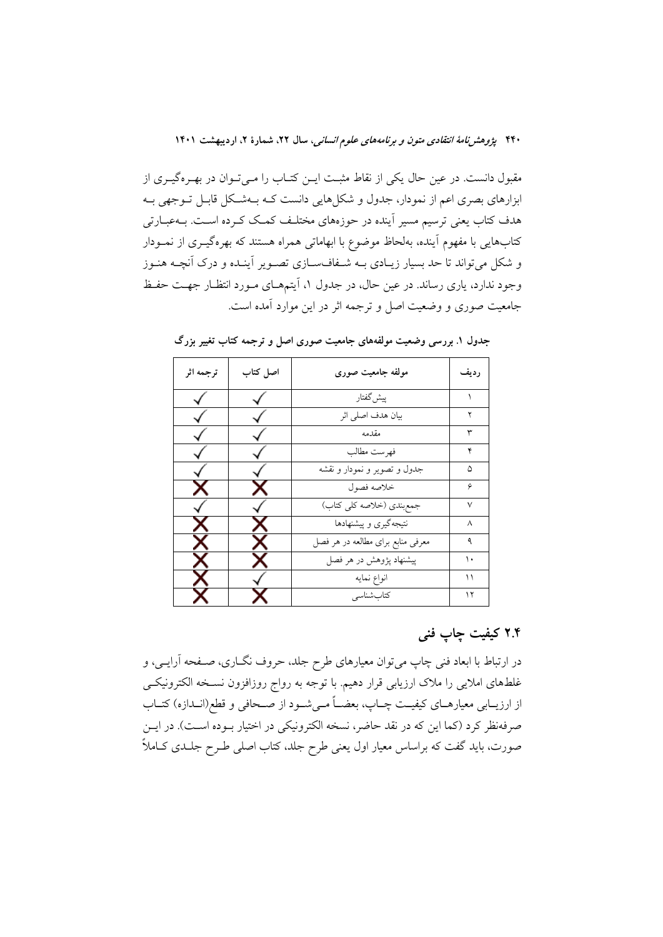مقبول دانست. در عین حال یکی از نقاط مثبت ایــن کتــاب را مــی تــوان در بهــرهگیــری از ابزارهای بصری اعم از نمودار، جدول و شکلهایی دانست کـه بـهشـکل قابـل تـوجهی بـه هدف کتاب یعنی ترسیم مسیر آینده در حوزههای مختلـف کمـک کـرده اسـت. بــهعبــارتی کتابهایی با مفهوم آینده، بهلحاظ موضوع با ابهاماتی همراه هستند که بهرهگیـری از نمــودار و شکل میتواند تا حد بسیار زیـادی بــه شــفافســازی تصــویر اَینــده و درک اَنچــه هنــوز وجود ندارد، پاری رساند. در عین حال، در جدول ۱، آیتمههای مـورد انتظـار جهـت حفـظ جامعیت صوری و وضعیت اصل و ترجمه اثر در این موارد آمده است.

| ترجمه اثر | اصل کتاب | مولفه جامعيت صورى                 | رديف   |
|-----------|----------|-----------------------------------|--------|
|           |          | پیش گفتار                         |        |
|           |          | بيان هدف اصلى اثر                 |        |
|           |          | مقدمه                             | ٣      |
|           |          | فهرست مطالب                       | ۴      |
|           |          | جدول و تصویر و نمودار و نقشه      | ۵      |
| х         | х        | خلاصه فصول                        | ۶      |
|           |          | جمع بندي (خلاصه كلي كتاب)         | $\vee$ |
| x         | x        | نتیجهگیری و پیشنهادها             | ٨      |
| x.        | x        | معرفی منابع برای مطالعه در هر فصل | ٩      |
| X.        | х        | پیشنهاد پژوهش در هر فصل           | ۱.     |
| x         |          | انواع نمايه                       | ۱۱     |
| Х         |          | كتابشناسي                         | ۱۲     |

جدول ۱. بررسی وضعیت مولفههای جامعیت صوری اصل و ترجمه کتاب تغییر بزرگ

# ۲.۴ کیفیت چاپ فنی

در ارتباط با ابعاد فنی چاپ میتوان معیارهای طرح جلد، حروف نگــاری، صــفحه آرایــی، و غلطهای املایی را ملاک ارزیابی قرار دهیم. با توجه به رواج روزافزون نسخه الکترونیکی از ارزیــابی معیارهــای کیفیــت چــاپ، بعضــاً مــیشــود از صــحافی و قطع(انــدازه) کتــاب صرفهنظر کرد (کما این که در نقد حاضر، نسخه الکترونیکی در اختیار بـوده اسـت). در ایــن صورت، باید گفت که براساس معیار اول یعنی طرح جلد، کتاب اصلی طـرح جلـدی کــاملاً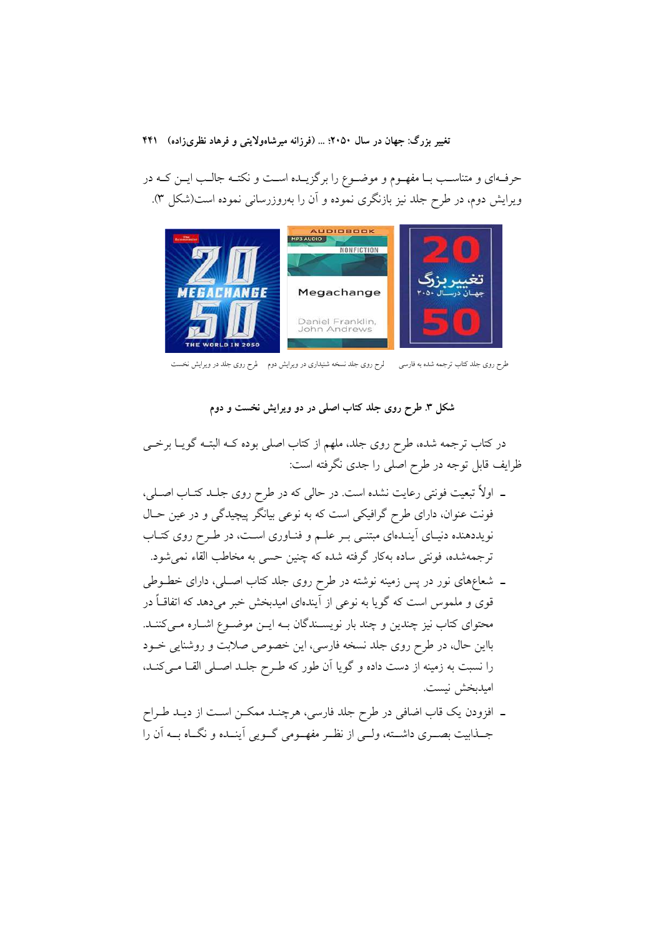حرفهای و متناسـب بــا مفهــوم و موضــوع را برگزیــده اســت و نکتــه جالــب ایــن کــه در ویرایش دوم، در طرح جلد نیز بازنگری نموده و آن را بهروزرسانی نموده است(شکل ۳).



طرح روی جلد کتاب ترجمه شده به فارسی مسلرح روی جلد نسخه شنیداری در ویرایش دوم طرح روی جلد در ویرایش نخست

شکل ۳. طرح روی جلد کتاب اصلی در دو ویرایش نخست و دوم

در کتاب ترجمه شده، طرح روی جلد، ملهم از کتاب اصلی بوده کــه البتــه گویــا برخــی ظرایف قابل توجه در طرح اصلی را جدی نگرفته است:

- ـ اولاً تبعیت فونتی رعایت نشده است. در حالی که در طرح روی جلـد کتـاب اصـلی، فونت عنوان، دارای طرح گرافیکی است که به نوعی بیانگر پیچیدگی و در عین حـال نویددهنده دنیـای آینـدهای مبتنـی بـر علـم و فنـاوری اسـت، در طـرح روی کتـاب .<br>ترجمهشده، فونتي ساده بهكار گرفته شده كه چنين حسي به مخاطب القاء نمي شود.
- ـ شعاعِهای نور در پس زمینه نوشته در طرح روی جلد کتاب اصـلی، دارای خطــوطی قوی و ملموس است که گویا به نوعی از آیندهای امیدبخش خبر میدهد که اتفاقــاً در محتوای کتاب نیز چندین و چند بار نویسـندگان بـه ایـن موضـوع اشـاره مـیکننـد. بااین حال، در طرح روی جلد نسخه فارسی، این خصوص صلابت و روشنایی خــود را نسبت به زمینه از دست داده و گویا آن طور که طـرح جلـد اصـلی القـا مـی کنـد، امبدبخش نيست.
- ۔ افزودن یک قاب اضافی در طرح جلد فارسی، هرچنـد ممکــن اسـت از دیــد طــراح جــذابيت بصـــري داشـــته، ولـــي از نظــر مفهــومي گــويي اّينــده و نگــاه بـــه اَن را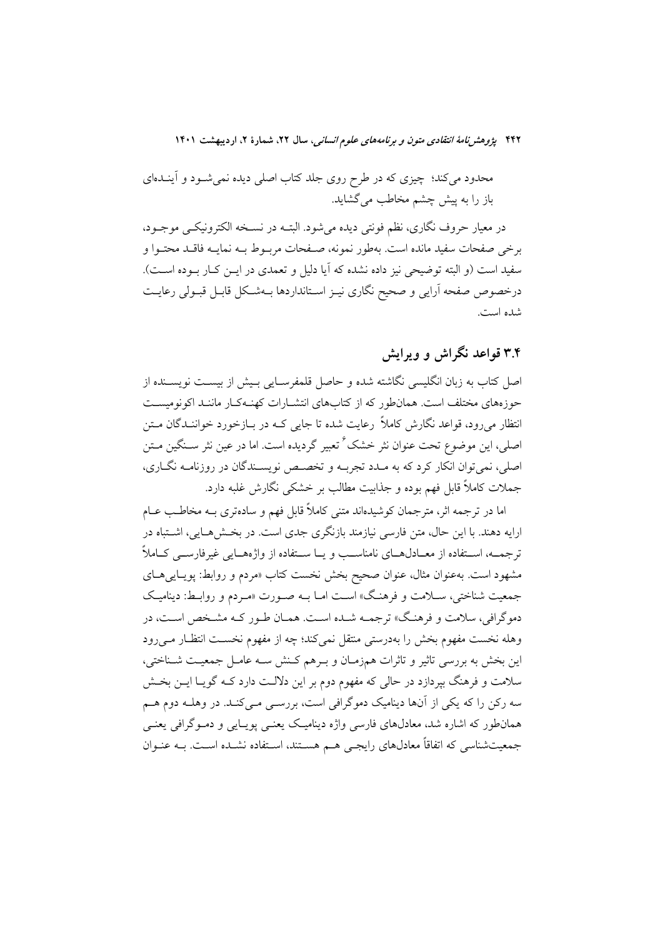محدود میکند؛ چیزی که در طرح روی جلد کتاب اصلی دیده نمیشـود و آینــدهای باز را به پیش چشم مخاطب می گشاید.

در معیار حروف نگاری، نظم فونتی دیده می شود. البتــه در نســخه الکترونیکــی موجــود، برخی صفحات سفید مانده است. بهطور نمونه، صـفحات مربـوط بـه نمایـه فاقـد محتـوا و سفید است (و البته توضیحی نیز داده نشده که آیا دلیل و تعمدی در ایــن کــار بــوده اســت). درخصوص صفحه آرايي و صحيح نگاري نيـز اسـتانداردها بــهشـكل قابـل قبـولي رعايـت شده است.

# ۳.۴ قواعد نگراش و ویرایش

اصل كتاب به زبان انگليسي نگاشته شده و حاصل قلمفرسـايي بـيش از بيسـت نويســنده از حوزههای مختلف است. همانطور که از کتابهای انتشـارات کهنـهکـار ماننـد اکونومیسـت انتظار می رود، قواعد نگارش کاملاً رعایت شده تا جایی کـه در بــازخورد خواننــدگان مــتن اصلي، اين موضوع تحت عنوان نثر خشک ٔ تعبير گرديده است. اما در عين نثر سـنگين مــتن اصلي، نمي توان انكار كرد كه به مـدد تجربـه و تخصـص نويسـندگان در روزنامـه نگـاري، جملات کاملاً قابل فهم بوده و جذابیت مطالب بر خشکی نگارش غلبه دارد.

اما در ترجمه اثر، مترجمان کوشیدهاند متنی کاملاً قابل فهم و سادهتری بـه مخاطـب عــام ارایه دهند. با این حال، متن فارسی نیازمند بازنگری جدی است. در بخـش۵حـایی، اشــتباه در ترجمــه، اســتفاده از معــادل@ــاي نامناســب و يــا ســتفاده از واژههــايي غيرفارســي كــاملاً مشهود است. بهعنوان مثال، عنوان صحیح بخش نخست کتاب «مردم و روابط: پویـاییهـای جمعیت شناختی، سـلامت و فرهنگ» اسـت امـا بـه صـورت «مـردم و روابـط: دینامیـک دموگرافی، سلامت و فرهنگ» ترجمــه شــده اسـت. همــان طــور كــه مشــخص اســت، در وهله نخست مفهوم بخش را بهدرستی منتقل نمیکند؛ چه از مفهوم نخسـت انتظـار مـیرود این بخش به بررسی تاثیر و تاثرات همزمـان و بـرهم كـنش سـه عامـل جمعیـت شـناختی، سلامت و فرهنگ بیردازد در حالی که مفهوم دوم بر این دلالـت دارد کـه گویـا ایــن بخــش سه رکن را که یکی از آنها دینامیک دموگرافی است، بررسـی مـیکنـد. در وهلــه دوم هــم همانطور که اشاره شد، معادلهای فارسی واژه دینامیک یعنسی پویـایی و دمـوگرافی یعنـی جمعیتشناسی که اتفاقاً معادلهای رایجی هـم هسـتند، اسـتفاده نشـده اسـت. بـه عنـوان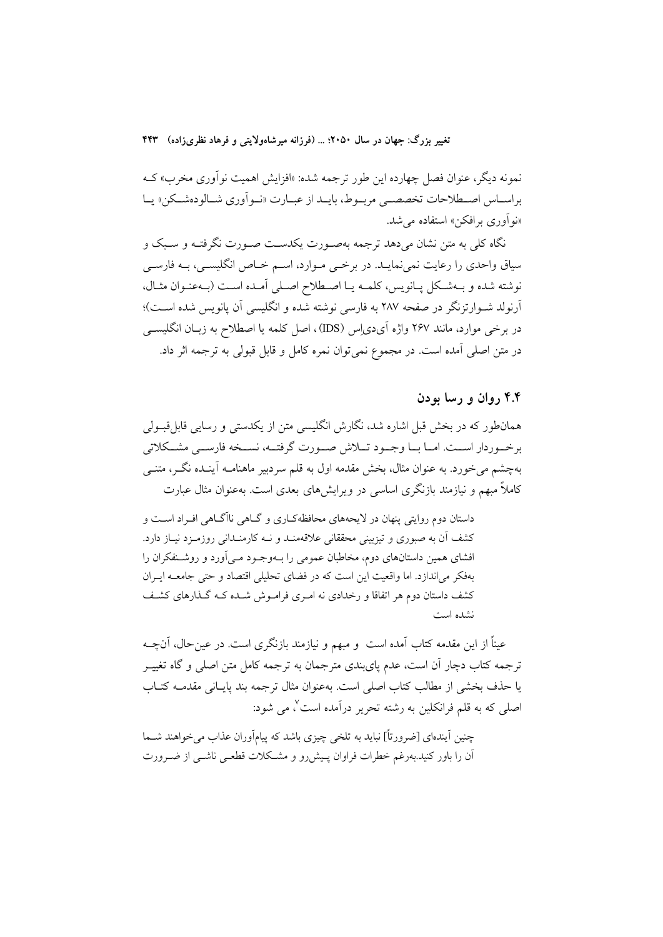نمونه دیگر، عنوان فصل چهارده این طور ترجمه شده: «افزایش اهمیت نوآوری مخرب» ک براسـاس اصـطلاحات تخصصـي مربــوط، بايــد از عبــارت «نــوأوري شــالودهشــكن» يــا «نو آوري برافکن» استفاده مي شد.

نگاه کلی به متن نشان میدهد ترجمه بهصـورت یکدسـت صـورت نگرفتـه و سـبک و سیاق واحدی را رعایت نمی نمایـد. در برخــی مــوارد، اســم خــاص انگلیســی، بــه فارســی نوشته شده و بـهشـكل يـانويس، كلمـه يـا اصـطلاح اصـلى آمـده اسـت (بـهعنـوان مثـال، آرنولد شـوارتزنگر در صفحه ۲۸۷ به فارسی نوشته شده و انگلیسی آن پانویس شده اسـت)؛ در برخی موارد، مانند ۲۶۷ واژه آیدیِاِس (IDS)، اصل کلمه یا اصطلاح به زبــان انگلیســی در متن اصلي آمده است. در مجموع نمي توان نمره كامل و قابل قبولي به ترجمه اثر داد.

#### ۴.۴ روان و رسا بودن

همانطور که در بخش قبل اشاره شد، نگارش انگلیسی متن از یکدستی و رسایی قابل قبـولی برخــوردار اســت. امــا بــا وجــود تـــلاش صـــورت گرفتــه، نســخه فارســـي مشــكلاتي بهچشم می خورد. به عنوان مثال، بخش مقدمه اول به قلم سردبیر ماهنامــه آینــده نگــر، متنــی کاملاً مبهم و نیازمند بازنگری اساسی در ویرایشهای بعدی است. بهعنوان مثال عبارت

داستان دوم روایتی پنهان در لایحههای محافظهکـاری و گـاهی ناآگـاهی افـراد اسـت و کشف آن به صبوری و تیزبینی محققانی علاقهمنـد و نــه کارمنـدانی روزمـزد نیـاز دارد. افشای همین داستانهای دوم، مخاطبان عمومی را بـهوجـود مـی|آورد و روشـنفکران را بهفکر می اندازد. اما واقعیت این است که در فضای تحلیلی اقتصاد و حتی جامعـه ایـران کشف داستان دوم هر اتفاقا و رخدادی نه امـری فرامـوش شـده کـه گـذارهای کشـف نشده است

عیناً از این مقدمه کتاب آمده است ً و مبهم و نیازمند بازنگری است. در عین حال، آنچــه ترجمه کتاب دچار اّن است، عدم پایبندی مترجمان به ترجمه کامل متن اصلی و گاه تغییــر يا حذف بخشى از مطالب كتاب اصلى است. بهعنوان مثال ترجمه بند يايـانى مقدمــه كتــاب اصلی که به قلم فرانکلین به رشته تحریر درآمده است ٌ، می شود:

چنین آیندهای [ضرورتاً] نباید به تلخی چیزی باشد که پیامآوران عذاب می خواهند شــما آن را باور کنید.بهرغم خطرات فراوان پیش رو و مشکلات قطعـی ناشـی از ضـرورت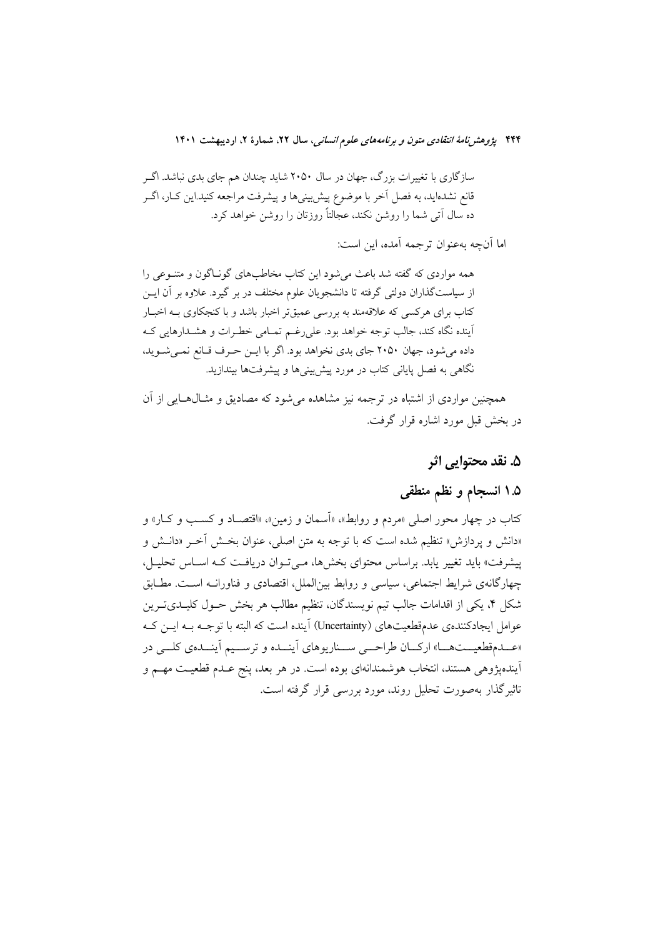سازگاری با تغییرات بزرگ، جهان در سال ۲۰۵۰ شاید چندان هم جای بدی نباشد. اگـر قانع نشدهاید، به فصل آخر با موضوع پیش بینیها و پیشرفت مراجعه کنید.این کـار، اگــر ده سال آتی شما را روشن نکند، عجالتاً روزتان را روشن خواهد کرد.

اما آنچه بهعنوان ترجمه آمده، این است:

همه مواردی که گفته شد باعث می شود این کتاب مخاطبهای گونـاگون و متنـوعی را از سیاستگذاران دولتی گرفته تا دانشجویان علوم مختلف در بر گیرد. علاوه بر آن ایــن کتاب برای هرکسی که علاقهمند به بررسی عمیقتر اخبار باشد و با کنجکاوی بـه اخبـار آینده نگاه کند، جالب توجه خواهد بود. علی رغـم تمـامی خطـرات و هشـدارهایی کـه داده می شود، جهان ۲۰۵۰ جای بدی نخواهد بود. اگر با ایـن حـرف قـانع نمـی شـوید، نگاهی به فصل پایانی کتاب در مورد پیش بینیها و پیشرفتها بیندازید.

همچنین مواردی از اشتباه در ترجمه نیز مشاهده می شود که مصادیق و مثـال۵عـایی از آن در بخش قبل مورد اشاره قرار گرفت.

#### ۵. نقد محتوایی اثر

## ۰.۵ انسجام و نظم منطقی

کتاب در چهار محور اصلی «مردم و روابط»، «اَسمان و زمین»، «اقتصـاد و کسـب و کـار» و «دانش و يردازش» تنظيم شده است كه با توجه به متن اصلي، عنوان بخـش آخـر «دانـش و پیشرفت» باید تغییر یابد. براساس محتوای بخشها، مـیتوان دریافـت کـه اسـاس تحلیـل، چهارگانهی شرایط اجتماعی، سیاسی و روابط بینالملل، اقتصادی و فناورانـه اسـت. مطـابق شکل ۴، یکی از اقدامات جالب تیم نویسندگان، تنظیم مطالب هر بخش حــول کلیــدیتــرین عوامل ایجادکنندهی عدمقطعیتهای (Uncertainty) آینده است که البته با توجـه بـه ایــن کــه «عــدمقطعيــتهــا» اركــان طراحــي ســناريوهاي أينــده و ترســيم أينــدهي كلــي در اًیندهپژوهی هستند، انتخاب هوشمندانهای بوده است. در هر بعد، پنج عــدم قطعیــت مهــم و تاثیر گذار بهصورت تحلیل روند، مورد بررسی قرار گرفته است.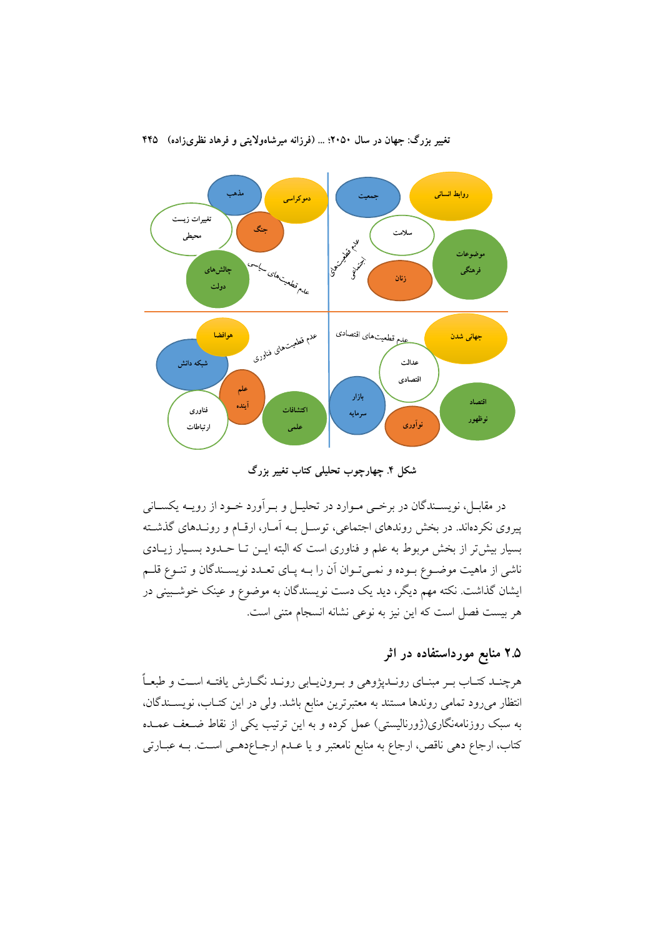

شکل ۴. چهارچوب تحلیلی کتاب تغییر بزرگ

در مقابــل، نویســندگان در برخــی مــوارد در تحليــل و بــرآورد خــود از رويــه يكســانی پیروی نکردهاند. در بخش روندهای اجتماعی، توسـل بـه آمـار، ارقـام و رونـدهای گذشـته بسیار بیش تر از بخش مربوط به علم و فناوری است که البته ایــن تــا حــدود بســیار زیــادی ناشی از ماهیت موضـوع بـوده و نمـیتـوان آن را بـه پـای تعـدد نویسـندگان و تنـوع قلـم ایشان گذاشت. نکته مهم دیگر، دید یک دست نویسندگان به موضوع و عینک خوشـبینی در هر بیست فصل است که این نیز به نوعی نشانه انسجام متنی است.

## ۲.۵ منابع مورداستفاده در اثر

هرچنـد کتـاب بـر مبنـای رونـدپژوهی و بـرون١يـابی رونـد نگــارش يافتــه اســت و طبعــاً انتظار می رود تمامی روندها مستند به معتبرترین منابع باشد. ولی در این کتـاب، نویســندگان، به سبک روزنامهنگاری(ژورنالیستی) عمل کرده و به این ترتیب یکی از نقاط ضـعف عمـده كتاب، ارجاع دهي ناقص، ارجاع به منابع نامعتبر و يا عـدم ارجــاعدهـي اسـت. بــه عبــارتي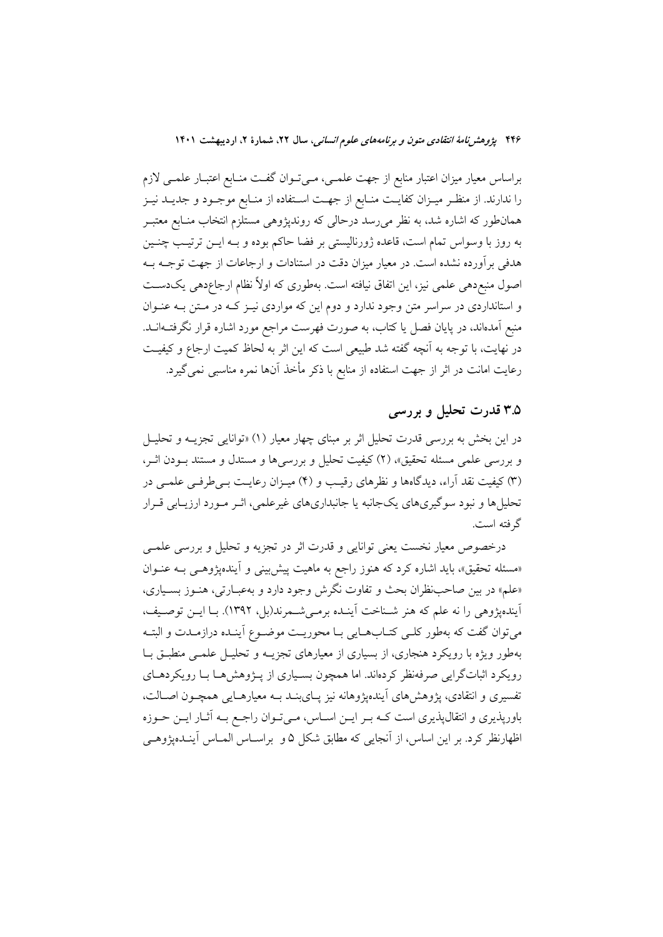براساس معیار میزان اعتبار منابع از جهت علمـی، مـیتـوان گفـت منـابع اعتبـار علمـی لازم را ندارند. از منظـر میــزان کفایــت منــابع از جهــت اســتفاده از منــابع موجــود و جدیــد نیــز همانطور که اشاره شد، به نظر میرسد درحالی که روندپژوهی مستلزم انتخاب منـابع معتبـر به روز با وسواس تمام است، قاعده ژورنالیستی بر فضا حاکم بوده و بـه ایــن ترتیـب چنــین هدفی برآورده نشده است. در معیار میزان دقت در استنادات و ارجاعات از جهت توجــه بــه اصول منبع دهی علمی نیز، این اتفاق نیافته است. بهطوری که اولاً نظام ارجاعدهی یکدست و استانداردی در سراسر متن وجود ندارد و دوم این که مواردی نیـز کـه در مـتن بـه عنـوان منبع آمدهاند، در پایان فصل یا کتاب، به صورت فهرست مراجع مورد اشاره قرار نگرفتــهانــد. در نهایت، با توجه به آنچه گفته شد طبیعی است که این اثر به لحاظ کمیت ارجاع و کیفیت رعایت امانت در اثر از جهت استفاده از منابع با ذکر مأخذ آنها نمره مناسبی نمی گیرد.

### ۳.۵ قدرت تحلیل و بررسی

در این بخش به بررسی قدرت تحلیل اثر بر مبنای چهار معیار (۱) «توانایی تجزیــه و تحلیــل و بررسی علمی مسئله تحقیق»، (۲) کیفیت تحلیل و بررسی ها و مستدل و مستند بـودن اثـر، (٣) کیفیت نقد آراء، دیدگاهها و نظرهای رقیب و (۴) میـزان رعایـت بـی طرفـی علمـی در تحلیل ها و نبود سوگیریهای یکجانبه یا جانبداریهای غیرعلمی، اثـر مـورد ارزیـابی قـرار گر فته است.

درخصوص معیار نخست یعنی توانایی و قدرت اثر در تجزیه و تحلیل و بررسی علمــی «مسئله تحقیق»، باید اشاره کرد که هنوز راجع به ماهیت پیش بینی و آیندهپژوهـی بـه عنـوان «علم» در بين صاحب نظران بحث و تفاوت نگرش وجود دارد و به عبـارتي، هنـوز بسـياري، آیندهیژوهی را نه علم که هنر شـناخت آینـده برمـیشـمرند(بل، ۱۳۹۲). بـا ایـن توصـیف، مي توان گفت كه بهطور كلـي كتـابهـايي بـا محوريـت موضـوع آينـده درازمـدت و البتـه بهطور ویژه با رویکرد هنجاری، از بسیاری از معیارهای تجزیــه و تحلیــل علمــی منطبــق بــا رویکر د اثباتگرایی صرفهنظر کردهاند. اما همچون بسـپاری از پـژوهش هـا بـا رویکردهـای تفسیری و انتقادی، پژوهشهای آیندهپژوهانه نیز پـایبنـد بـه معیارهـایی همچـون اصـالت، باورپذیری و انتقالپذیری است کـه بـر ایـن اسـاس، مـیتـوان راجـع بـه آثـار ایـن حـوزه اظهارنظر کرد. بر این اساس، از آنجایی که مطابق شکل ۵ و براســاس المــاس آینــدهیژوهــی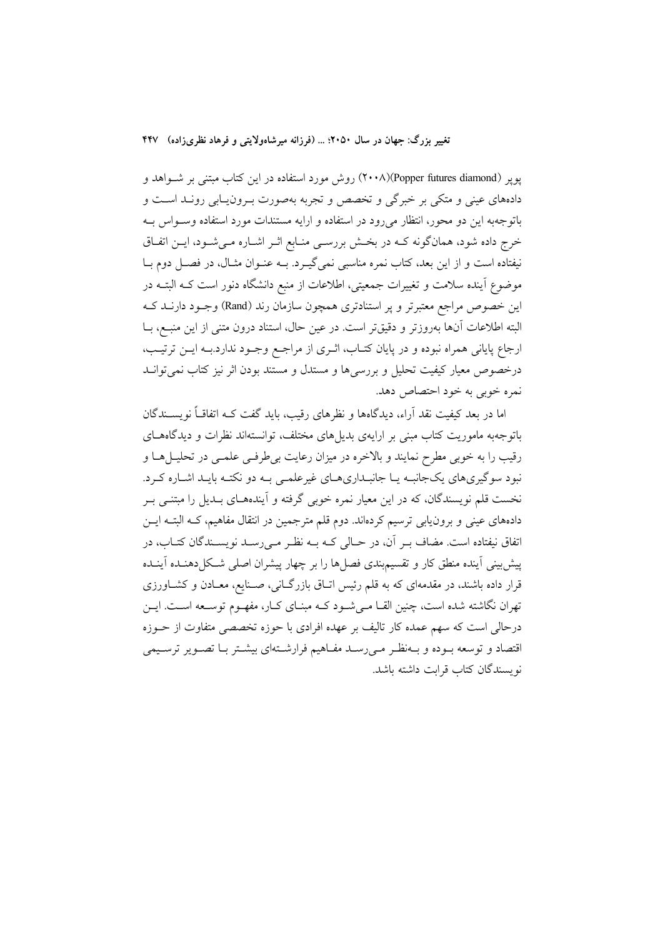پوپر (Popper futures diamond)(۲۰۰۸) روش مورد استفاده در این کتاب مبتنی بر شواهد و دادههای عینی و متکی بر خبرگی و تخصص و تجربه بهصورت بـرونLپایی رونـد اسـت و باتوجهبه این دو محور، انتظار میرود در استفاده و ارایه مستندات مورد استفاده وسـواس بـه خرج داده شود، همانگونه کـه در بخـش بررسـي منـابع اثـر اشـاره مـيشـود، ايـن اتفـاق نیفتاده است و از این بعد، کتاب نمره مناسبی نمیگیرد. بـه عنـوان مثـال، در فصـل دوم بـا موضوع آینده سلامت و تغییرات جمعیتی، اطلاعات از منبع دانشگاه دنور است کـه البتــه در این خصوص مراجع معتبرتر و پر استنادتری همچون سازمان رند (Rand) وجـود دارنــد کــه البته اطلاعات آنها بهروزتر و دقیقتر است. در عین حال، استناد درون متنی از این منبع، بــا ارجاع پایانی همراه نبوده و در پایان کتـاب، اثـری از مراجـع وجـود ندارد.بـه ایــن ترتیـب، درخصوص معیار کیفیت تحلیل و بررسیها و مستدل و مستند بودن اثر نیز کتاب نمی توانــد نمره خوبي به خود احتصاص دهد.

اما در بعد کیفیت نقد اَراء، دیدگاهها و نظرهای رقیب، باید گفت کـه اتفاقــاً نویســندگان باتوجهبه ماموریت کتاب مبنی بر ارایهی بدیلهای مختلف، توانستهاند نظرات و دیدگاههـای رقیب را به خوبی مطرح نمایند و بالاخره در میزان رعایت بی طرفی علمـی در تحلیــل۱هـا و نبود سوگیریهای یکجانبـه یـا جانبـداریهـای غیرعلمـی بـه دو نکتـه بایـد اشـاره کـرد. نخست قلم نویسندگان، که در این معیار نمره خوبی گرفته و آیندههـای بـدیل را مبتنــی بــر دادههای عینی و برون،ابی ترسیم کردهاند. دوم قلم مترجمین در انتقال مفاهیم، کــه البتــه ایــن اتفاق نیفتاده است. مضاف بـر آن، در حـالی کـه بـه نظـر مـی(سـد نویسـندگان کتـاب، در پیش بینی آینده منطق کار و تقسیم.بندی فصلها را بر چهار پیشران اصلی شکل(دهنـده آینـده قرار داده باشند، در مقدمهای که به قلم رئیس اتـاق بازرگـانی، صـنایع، معـادن و کشـاورزی تهران نگاشته شده است، چنین القــا مــیشــود کــه مبنــای کــار، مفهــوم توســعه اســت. ایــن درحالی است که سهم عمده کار تالیف بر عهده افرادی با حوزه تخصصی متفاوت از حــوزه اقتصاد و توسعه بـوده و بـهنظـر مـىرسـد مفـاهيم فرارشـتهاى بيشـتر بـا تصـوير ترسـيمى نويسندگان كتاب قرابت داشته باشد.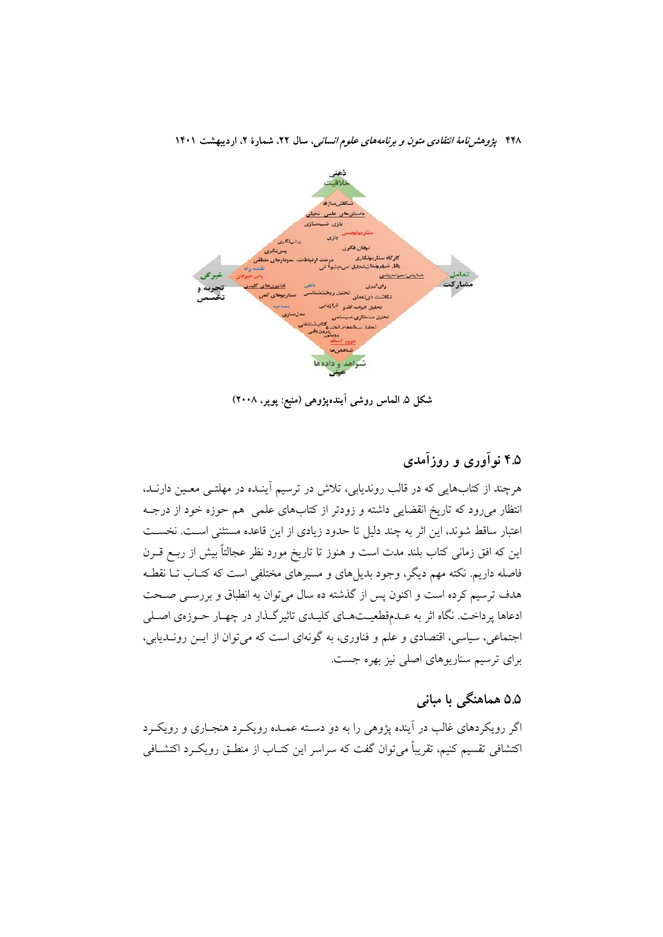

شکل ۵ـ الماس روشي اَيندهپژوهي (منبع: پوپر، ۲۰۰۸)

# ۴.۵ نوآوري و روزآمدي

هرچند از کتابهایی که در قالب روندیابی، تلاش در ترسیم آینـده در مهلتــی معـین دارنــد، انتظار میرود که تاریخ انقضایی داشته و زودتر از کتابهای علمی هم حوزه خود از درجـه اعتبار ساقط شوند، این اثر به چند دلیل تا حدود زیادی از این قاعده مستثنی است. نخست این که افق زمانی کتاب بلند مدت است و هنوز تا تاریخ مورد نظر عجالتاً بیش از ربـع قــرن فاصله داریم. نکته مهم دیگر، وجود بدیلهای و مسیرهای مختلفی است که کتـاب تــا نقطــه هدف ترسیم کرده است و اکنون پس از گذشته ده سال میتوان به انطباق و بررسـی صـحت ادعاها پرداخت. نگاه اثر به عـدمقطعیــتهـای کلیـدی تاثیرگـذار در چهـار حـوزهی اصـلی اجتماعی، سیاسی، اقتصادی و علم و فناوری، به گونهای است که می توان از ایـن رونــدیابی، برای ترسیم سناریوهای اصلی نیز بهره جست.

# ۵.۵ هماهنگی با مبانی

اگر رویکردهای غالب در آینده پژوهی را به دو دسته عمـده رویکـرد هنجـاری و رویکـرد اکتشافی تقسیم کنیم، تقریباً می توان گفت که سراسر این کتــاب از منطــق رویکــرد اکتشــافی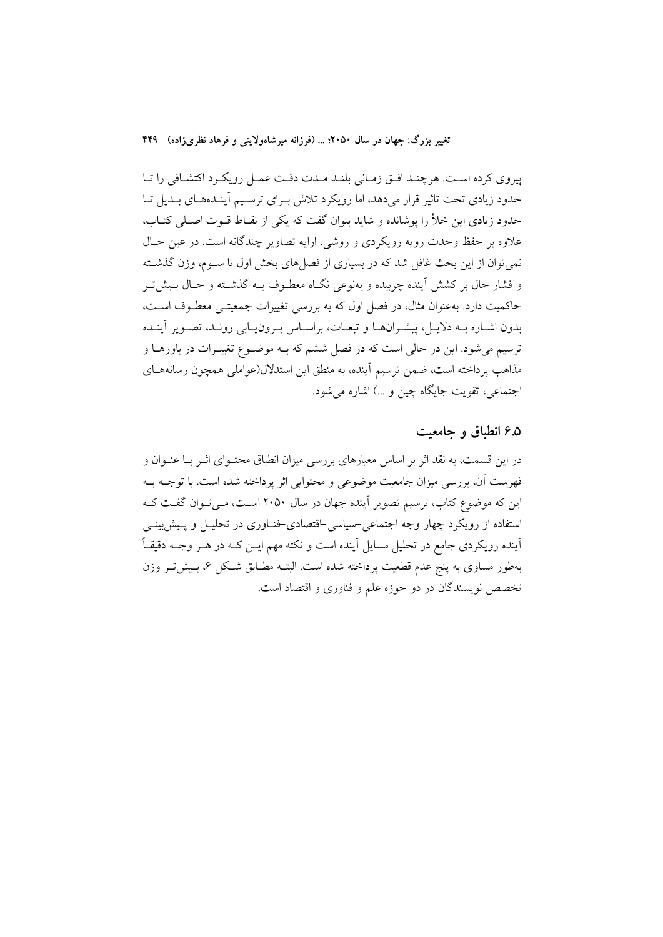پیروی کرده است. هرچند افتی زمانی بلند مدت دقت عمل رویکرد اکتشافی را تا حدود زیادی تحت تاثیر قرار می دهد، اما رویکرد تلاش بهرای ترسیم آینلدههای بلدیل تبا حدود زیادی این خلأ را پوشانده و شاید بتوان گفت که یکی از نقـاط قـوت اصـلی کتـاب، علاوه بر حفظ وحدت رویه رویکردی و روشی، ارایه تصاویر چندگانه است. در عین حـال نمي توان از اين بحث غافل شد كه در بسياري از فصل هاي بخش اول تا سـوم، وزن گذشــته و فشار حال بر کشش اَینده چربیده و بهنوعی نگــاه معطــوف بــه گذشــته و حــال بــیش تــر حاکمیت دارد. بهعنوان مثال، در فصل اول که به بررسی تغییرات جمعیتـی معطـوف اسـت، .<br>بدون اشـاره بــه دلايــل، پيشــرانهــا و تبعــات، براســاس بــرونيــابي رونــد، تصــوير آينــده ترسیم می شود. این در حالی است که در فصل ششم که بـه موضـوع تغییـرات در باورهـا و مذاهب پرداخته است، ضمن ترسیم آینده، به منطق این استدلال(عواملی همچون رسانههـای اجتماعي، تقويت جايگاه چين و …) اشاره مي شود.

### ۶.۵ انطباق و جامعیت

در این قسمت، به نقد اثر بر اساس معیارهای بررسی میزان انطباق محتـوای اثـر بــا عنـوان و فهرست آن، بررسی میزان جامعیت موضوعی و محتوایی اثر پرداخته شده است. با توجـه بــه این که موضوع کتاب، ترسیم تصویر اَینده جهان در سال ۲۰۵۰ اسـت، مـیتـوان گفـت کـه استفاده از رویکرد چهار وجه اجتماعی حسیاسی اقتصادی خنـاوری در تحلیــل و پــیش:بینــی آینده رویکردی جامع در تحلیل مسایل آینده است و نکته مهم ایــن کــه در هــر وجــه دقیقــاً بهطور مساوى به پنج عدم قطعيت پرداخته شده است. البتــه مطــابق شــكل ۶، بــيشتــر وزن تخصص نویسندگان در دو حوزه علم و فناوری و اقتصاد است.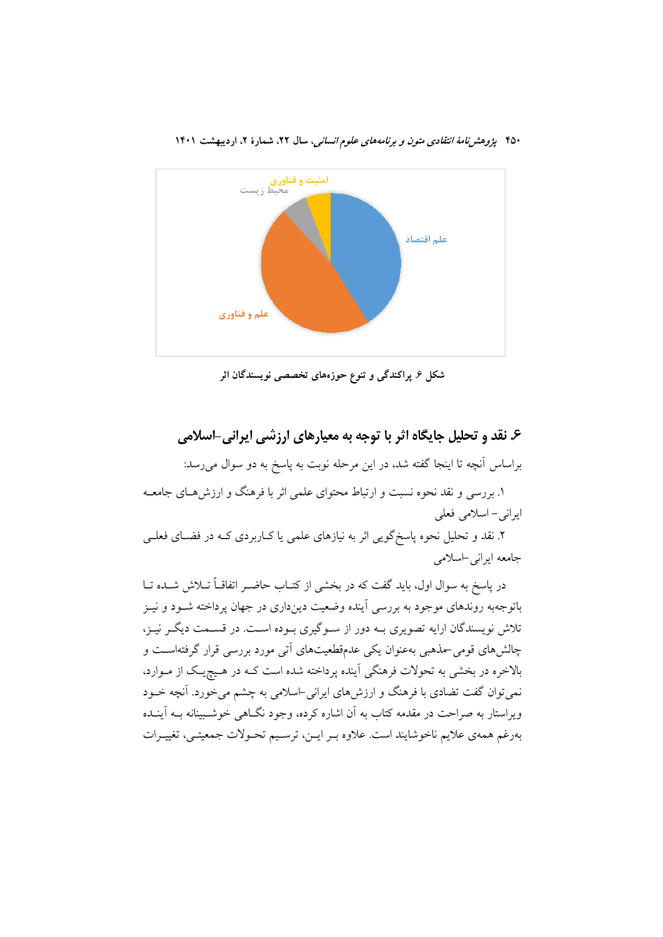

شکل ۶. پراکندگی و تنوع حوزههای تخصصی نویسندگان اثر

# ۶. نقد و تحلیل جایگاه اثر با توجه به معیارهای ارزشی ایرانی-اسلامی

براساس آنچه تا اینجا گفته شد، در این مرحله نوبت به پاسخ به دو سوال میرسد:

۱. بررسی و نقد نحوه نسبت و ارتباط محتوای علمی اثر با فرهنگ و ارزشهـای جامعــه ایرانی – اسلامی فعلی

۲. نقد و تحلیل نحوه پاسخگویی اثر به نیازهای علمی یا کـاربردی کـه در فضـای فعلـی جامعه ايراني اسلامي

در یاسخ به سوال اول، باید گفت که در بخشی از کتــاب حاضــر اتفاقــاً تــلاش شــده تــا باتوجهبه روندهای موجود به بررسی آینده وضعیت دینداری در جهان پرداخته شــود و نیــز تلاش نویسندگان ارایه تصویری بـه دور از سـوگیری بـوده اسـت. در قسـمت دیگـر نیـز، چالش های قومی-مذهبی بهعنوان یکی عدمقطعیتهای آتی مورد بررسی قرار گرفتهاست و بالاخره در بخشی به تحولات فرهنگی آینده پرداخته شده است کـه در هـیچیـک از مـوارد، نمیتوان گفت تضادی با فرهنگ و ارزشهای ایرانی-اسلامی به چشم میخورد. آنچه خــود ویراستار به صراحت در مقدمه کتاب به آن اشاره کرده، وجود نگــاهی خوشــبینانه بــه آینــده بەرغم همەي علايم ناخوشايند است. علاوه بـر ايـن، ترسـيم تحـولات جمعيتـي، تغييـرات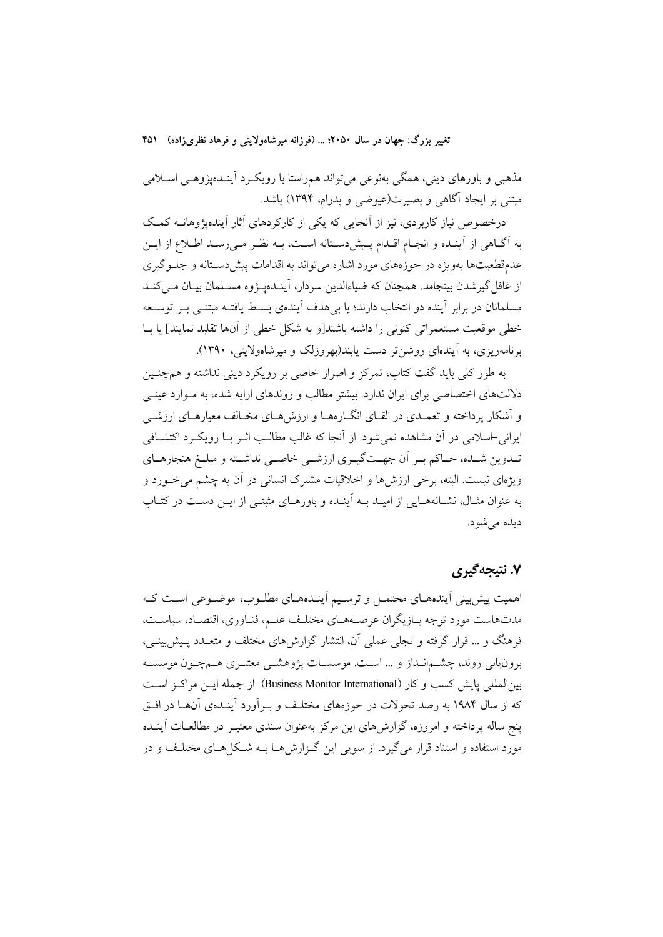مذهبی و باورهای دینی، همگی بهنوعی میتواند همراستا با رویک رد آینـدهپژوهـی اسـلامی مبتنی بر ایجاد آگاهی و بصیرت(عیوضی و یدرام، ۱۳۹۴) باشد.

درخصوص نیاز کاربردی، نیز از آنجایی که یکی از کارکردهای آثار آیندهیژوهانــه کمـک به آگـاهی از آینـده و انجـام اقـدام پـیش(دسـتانه اسـت، بـه نظـر مـی(رسـد اطـلاع از ایـن عدمقطعیتها بهویژه در حوزههای مورد اشاره میتواند به اقدامات پیش دستانه و جلوگیری از غافل گیرشدن بینجامد. همچنان که ضیاءالدین سردار، آینـدهیـژوه مسـلمان بیـان مـی کنـد مسلمانان در برابر آینده دو انتخاب دارند؛ یا بی هدف آیندهی بسـط یافتـه مبتنــی بــر توســعه خطي موقعيت مستعمراتي كنوني را داشته باشند[و به شكل خطي از آنها تقليد نمايند] يا بــا برنامهریزی، به آیندهای روشن تر دست پابند(بهروزلک و میرشاهولایتی، ۱۳۹۰).

په طور کلي پايد گفت کتاب، تمرکز و اصرار خاصي پر رويکرد ديني نداشته و هم چنـين دلالتهای اختصاصی برای ایران ندارد. بیشتر مطالب و روندهای ارایه شده، به مـوارد عینـی و اَشکار پرداخته و تعمـدي در القـاي انگــارههــا و ارزش هــاي مخــالف معيارهــاي ارزشــي ایرانی-اسلامی در آن مشاهده نمیشود. از آنجا که غالب مطالب اثـر بـا رویکـرد اکتشــافی تــدوین شــده، حــاکم بــر أن جهــتگیــری ارزشــی خاصــی نداشــته و مبلــغ هنجارهــای ویژهای نیست. البته، برخی ارزشها و اخلاقیات مشترک انسانی در آن به چشم می خـورد و به عنوان مثـال، نشـانههـايي از اميـد بــه آينـده و باورهـاي مثبتـي از ايــن دســت در كتـاب دیده می شود.

# ۷. نتيجهگيري

اهمیت پیش بینی آیندههای محتمـل و ترسـیم آینـدههـای مطلـوب، موضـوعی اسـت کـه مدتهاست مورد توجه بـازيگران عرصـههـاي مختلـف علـم، فنـاوري، اقتصـاد، سياسـت، فرهنگ و … قرار گرفته و تجلی عملی آن، انتشار گزارشهای مختلف و متعــدد پــیش;پینــی، برونيابي روند، چشـمانـداز و … اسـت. موسسـات پژوهشــي معتبـري هــمچــون موسسـه بين|لمللي يايش كسب و كار (Business Monitor International) از جمله ايــن مراكـز اســت که از سال ۱۹۸۴ به رصد تحولات در حوزههای مختلـف و بـرآورد آینـدهی آنهـا در افـق پنج ساله پرداخته و امروزه، گزارشهای این مرکز بهعنوان سندی معتبـر در مطالعــات آینــده مورد استفاده و استناد قرار می گیرد. از سویی این گـزارش هــا بــه شــکل هــای مختلـف و در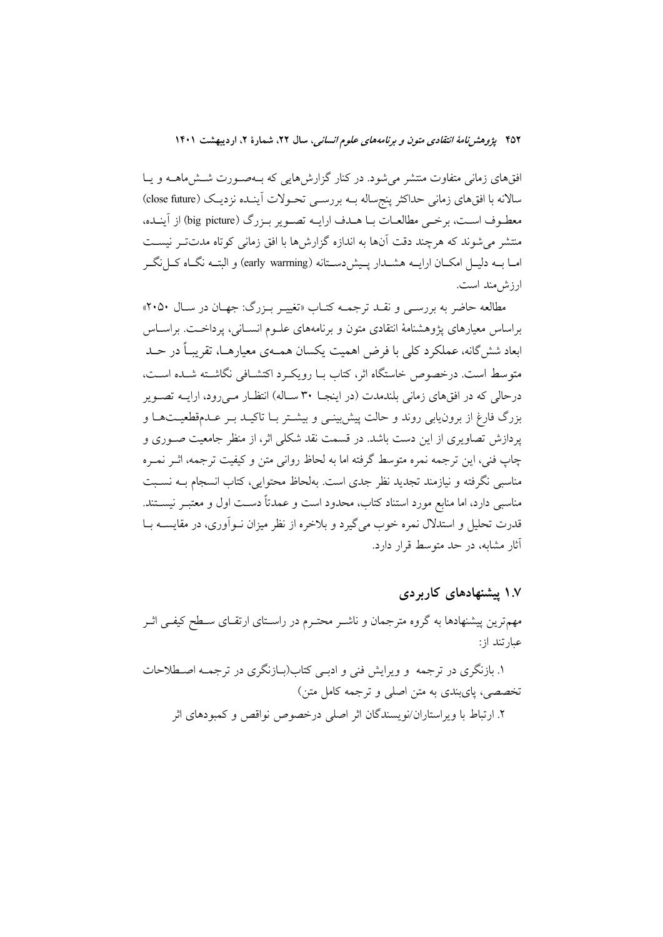افقهای زمانی متفاوت منتشر می شود. در کنار گزارشهایی که بـهصـورت شـش۵هـه و یـا سالانه با افقهای زمانی حداکثر پنجساله بــه بررســی تحــولات اّینــده نزدیــک (close future) معطـوف اسـت، برخـي مطالعــات بــا هــدف ارايــه تصــوير بــزرگ (big picture) از آينــده، منتشر می شوند که هرچند دقت آنها به اندازه گزارشها با افق زمانی کوتاه مدتتر نیست امــا بــه دليــل امكــان ارايــه هشــدار پــيشردســتانه (early warrning) و البتــه نگــاه كــل نگــر ارزش مند است.

مطالعه حاضر به بررسـي و نقـد ترجمــه كتـاب «تغييـر بـزرگ: جهـان در سـال ٢٠٥٠» براساس معیارهای پژوهشنامهٔ انتقادی متون و برنامههای علـوم انســانی، پرداخـت. براســاس ابعاد شش گانه، عملکرد کلی با فرض اهمیت یکسان همـهی معیارهــا، تقریبـاً در حــد متوسط است. درخصوص خاستگاه اثر، کتاب سا رویک د اکتشـافی نگاشـته شـده اسـت، درحالی که در افقهای زمانی بلندمدت (در اینجـا ۳۰ سـاله) انتظـار مـیرود، ارایــه تصــویر بزرگ فارغ از برون یابی روند و حالت پیش بینـی و بیشـتر بـا تاکیـد بـر عـدمقطعیـتهـا و پردازش تصاویری از این دست باشد. در قسمت نقد شکلی اثر، از منظر جامعیت صـوری و چاپ فنی، این ترجمه نمره متوسط گرفته اما به لحاظ روانی متن و کیفیت ترجمه، اثـر نمـره مناسبی نگرفته و نیازمند تجدید نظر جدی است. بهلحاظ محتوایی، کتاب انسجام بـه نسـبت مناسبی دارد، اما منابع مورد استناد کتاب، محدود است و عمدتاً دسـت اول و معتبـر نیســتند. قدرت تحلیل و استدلال نمره خوب می گیرد و بلاخره از نظر میزان نــوآوری، در مقایســه بــا آثار مشابه، در حد متوسط قرار دارد.

۱.۷ پیشنهادهای کاربردی

مهمترین پیشنهادها به گروه مترجمان و ناشـر محتـرم در راسـتای ارتقـای سـطح کیفـی اثـر عبارتند از:

۱. بازنگری در ترجمه ً و ویرایش فنی و ادبسی کتاب(بـازنگری در ترجمــه اصــطلاحات تخصصی، پایبندی به متن اصلی و ترجمه کامل متن) ۲. ارتباط با و بر استار ان/نو بسندگان اثر اصلی در خصوص نواقص و کمبو دهای اثر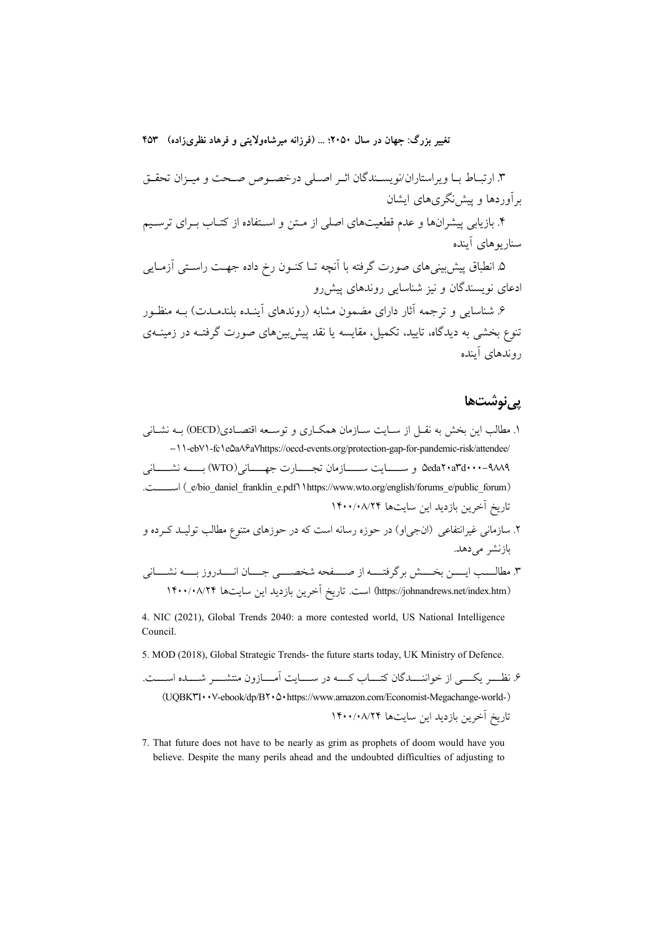۳. ارتبـاط بـا ويراستاران/نويسـندگان اثـر اصـلي درخصـوص صـحت و ميـزان تحقـق بر آوردها و پیش نگری های ایشان

۴. بازیابی پیشرانها و عدم قطعیتهای اصلی از مـتن و اسـتفاده از کتــاب بــرای ترسـیم سنار بوهای آینده

۵. انطباق پیش بینیهای صورت گرفته با اَنچه تــا کنــون رخ داده جهــت راســتی اَزمــایی ادعای نویسندگان و نیز شناسایی روندهای پیش رو

۶. شناسایی و ترجمه آثار دارای مضمون مشابه (روندهای آینده بلندمیدت) به منظـور .<br>تنوع بخشی به دیدگاه، تایید، تکمیل، مقایسه یا نقد پیش بینهای صورت گرفتـه در زمینــهی دوندهای آینده

#### <u>بے نوشتھا</u>

- ۱. مطالب این بخش به نقـل از سـایت سـازمان همکـاری و توسـعه اقتصـادی(OECD) بــه نشـانی -11-ebV1-fc1e0aASaVhttps://oecd-events.org/protection-gap-for-pandemic-risk/attendee/ ۵eda۲۰a۳d۰۰۰–۹۸۸۹ و ســـــايت ســــــازمان تجـــــارت جهـــــاني(WTO) بـــــه نشـــــاني (e/bio\_daniel\_franklin\_e.pdf \ \https://www.wto.org/english/forums\_e/public\_forum) اســــت. تاريخ آخرين بازديد اين سايتها ١۴٠٠/٠٨/٢۴
- ۲. سازمانی غیرانتفاعی (انجی|و) در حوزه رسانه است که در حوزهای متنوع مطالب تولیـد کـرده و بازنشر مى دهد.
- ٣. مطالـــب ايـــــن بخـــــش بر گرفتــــه از صـــــفحه شخصـــــي جــــان انـــــدروز بـــــه نشــــاني (https://johnandrews.net/index.htm) است. تاریخ آخرین بازدید این سایتها ۱۴۰۰/۰۸/۲۴

4. NIC (2021), Global Trends 2040: a more contested world, US National Intelligence Council.

5. MOD (2018), Global Strategic Trends- the future starts today, UK Ministry of Defence.

۶. نظـــر یکـــی از خواننـــدگان کتـــاب کـــه در ســـایت آمـــازون منتشـــر شـــده اســـت. (UQBKYI · · V-ebook/dp/BY ·  $\triangle$  · https://www.amazon.com/Economist-Megachange-world-) تاريخ آخرين بازديد اين سايتها ١۴٠٠/٠٨/٢۴

7. That future does not have to be nearly as grim as prophets of doom would have you believe. Despite the many perils ahead and the undoubted difficulties of adjusting to